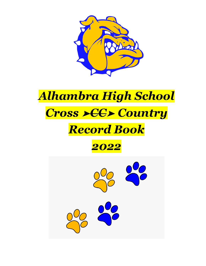

# *Alhambra High School Cross* ➤*CC*➤ *Country*

# *Record Book*



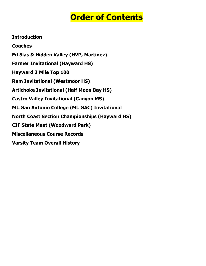## **Order of Contents**

**Introduction Coaches Ed Sias & Hidden Valley (HVP, Martinez) Farmer Invitational (Hayward HS) Hayward 3 Mile Top 100 Ram Invitational (Westmoor HS) Artichoke Invitational (Half Moon Bay HS) Castro Valley Invitational (Canyon MS) Mt. San Antonio College (Mt. SAC) Invitational North Coast Section Championships (Hayward HS) CIF State Meet (Woodward Park) Miscellaneous Course Records Varsity Team Overall History**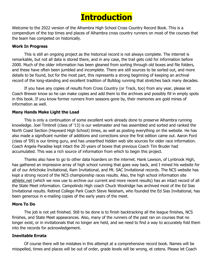

Welcome to the 2022 version of the Alhambra High School Cross Country Record Book. This is a compendium of the top times and places of Alhambra cross country runners on most of the courses that the team has competed on historically.

#### **Work In Progress**

This is still an ongoing project as the historical record is not always complete. The internet is remarkable, but not all data is stored there, and in any case, the trail gets cold for information before 2000. Much of the older information has been gleaned from sorting through old boxes and file folders, and these have often been jumbled and incomplete. There are still sources to be sorted out, and more details to be found, but for the most part, this represents a strong beginning of keeping an archival record of the long-standing and excellent tradition of Bulldog running that stretches back many decades.

If you have any copies of results from Cross Country (or Track, too) from any year, please let Coach Brewer know so he can make copies and add them to the archives and possibly fill in empty spots in this book. If you know former runners from seasons gone by, their memories are gold mines of information as well.

### **Many Hands Make Light the Load**

This is only a continuation of some excellent work already done to preserve Alhambra running knowledge. Joel Timbrell (class of '13) is our webmaster and has assembled and sorted and ranked the North Coast Section (Hayward High School) times, as well as posting everything on the website. He has also made a significant number of additions and corrections since the first edition came out. Aaron Ford (class of '09) is our timing guru, and has unearthed hidden web site sources for older race information. Coach Angela Paradise kept intact the 20 years of boxes that previous Coach Tim Bruder had accumulated. This was a rich source of information from which to begin this project.

Thanks also have to go to other data hoarders on the internet. Hank Lawson, of Lynbrook High, has gathered an impressive array of high school running that goes way back, and I mined his website for all of our Artichoke Invitational, Ram Invitational, and Mt. SAC Invitational records. The NCS website has kept a strong record of the NCS championship races results. Also, the high school information site athletic.net (which we now use to archive our current and more recent results) has an intact record of all the State Meet information. Campolindo High coach Chuck Woolridge has archived most of the Ed Sias Invitational results. Retired College Park Coach Steve Neisham, who founded the Ed Sias Invitational, has been generous in e-mailing copies of the early years of the meet.

### **More To Do**

The job is not yet finished. Still to be done is to finish backtracking all the league finishes, NCS finishes, and State Meet appearances. Also, many of the runners of the past ran on courses that no longer exist, or in invitationals that no longer are held, and we need to find a way to accurately fold them into the records for acknowledgement.

#### **Inevitable Errata**

Of course there will be mistakes in this attempt at a comprehensive record book. Names will be misspelled, times and places will be out of order, grade levels will be wrong, et cetera. Please let Coach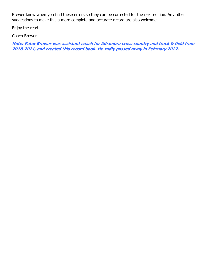Brewer know when you find these errors so they can be corrected for the next edition. Any other suggestions to make this a more complete and accurate record are also welcome.

Enjoy the read.

Coach Brewer

**Note: Peter Brewer was assistant coach for Alhambra cross country and track & field from 2018-2021, and created this record book. He sadly passed away in February 2022.**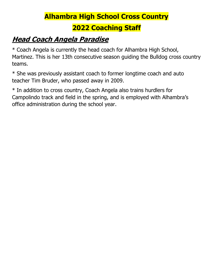# **Alhambra High School Cross Country**

### **2022 Coaching Staff**

## **Head Coach Angela Paradise**

\* Coach Angela is currently the head coach for Alhambra High School, Martinez. This is her 13th consecutive season guiding the Bulldog cross country teams.

\* She was previously assistant coach to former longtime coach and auto teacher Tim Bruder, who passed away in 2009.

\* In addition to cross country, Coach Angela also trains hurdlers for Campolindo track and field in the spring, and is employed with Alhambra's office administration during the school year.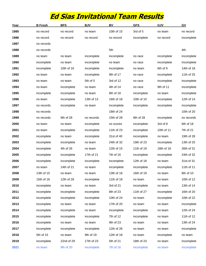### **Ed Sias Invitational Team Results**

| <u>Year</u> | <b>B</b> Frosh | <b>BFS</b> | <b>BJV</b> | BV         | <b>GFS</b> | GJV        | GV         |
|-------------|----------------|------------|------------|------------|------------|------------|------------|
| 1985        | no record      | no record  | no team    | 10th of 15 | 3rd of 5   | no team    | no record  |
| 1986        | no record      | no record  | no record  | no record  | incomplete | no record  | incomplete |
| 1987        | no records     |            |            |            |            |            |            |
| 1988        | no records     |            |            | 5th        |            |            | 4th        |
| 1989        | no team        | no team    | incomplete | incomplete | no race    | incomplete | incomplete |
| 1990        | incomplete     | no team    | incomplete | no team    | no race    | incomplete | incomplete |
| 1991        | incomplete     | 10th of 16 | incomplete | incomplete | no team    | 6th of 9   | 14th of 18 |
| 1992        | no team        | no team    | incomplete | 9th of 17  | no race    | incomplete | 11th of 25 |
| 1993        | no team        | no team    | 5th of 5   | 3rd of 12  | no race    | incomplete | incomplete |
| 1994        | no team        | incomplete | no team    | 4th of 14  | no race    | 9th of 11  | incomplete |
| 1995        | incomplete     | incomplete | no team    | 8th of 18  | incomplete | no team    | incomplete |
| 1996        | no team        | incomplete | 13th of 13 | 16th of 18 | 10th of 10 | incomplete | 12th of 14 |
| 1997        | no records     | incomplete | no team    | incomplete | incomplete | incomplete | incomplete |
| 1998        | no records     |            |            | 18th of 24 |            |            | 10th of 20 |
| 1999        | no records     | 9th of 28  | no records | 15th of 28 | 8th of 28  | incomplete | no records |
| 2000        | no team        | no team    | incomplete | no scores  | incomplete | 3rd of 8   | 6th of 18  |
| 2001        | no team        | incomplete | incomplete | 11th of 23 | incomplete | 10th of 11 | 7th of 21  |
| 2002        | incomplete     | no team    | incomplete | 31st of 40 | incomplete | no team    | 19th of 28 |
| 2003        | incomplete     | incomplete | no team    | 24th of 32 | 19th of 23 | incomplete | 13th of 25 |
| 2004        | incomplete     | 4th of 26  | no team    | 12th of 15 | 11th of 19 | 18th of 18 | 26th of 31 |
| 2005        | incomplete     | incomplete | 17th of 21 | 7th of 16  | incomplete | incomplete | 24th of 32 |
| 2006        | incomplete     | incomplete | incomplete | incomplete | 12th of 18 | no team    | 31st of 31 |
| 2007        | no team        | 14th of 21 | no team    | incomplete | incomplete | incomplete | 11th of 11 |
| 2008        | 13th of 15     | no team    | no team    | 13th of 18 | 16th of 19 | no team    | 8th of 10  |
| 2009        | 15th of 16     | 12th of 28 | incomplete | 11th of 18 | no team    | no team    | 10th of 12 |
| 2010        | incomplete     | no team    | no team    | 3rd of 21  | incomplete | no team    | 13th of 14 |
| 2011        | incomplete     | incomplete | incomplete | 8th of 23  | 11th of 27 | incomplete | 16th of 20 |
| 2012        | incomplete     | incomplete | incomplete | 10th of 24 | no team    | incomplete | 10th of 22 |
| 2013        | incomplete     | no team    | no team    | 17th of 20 | no team    | no team    | incomplete |
| 2014        | incomplete     | incomplete | no team    | incomplete | incomplete | no team    | 12th of 24 |
| 2015        | incomplete     | incomplete | incomplete | 7th of 12  | incomplete | no team    | 11th of 12 |
| 2016        | incomplete     | no team    | no team    | 9th of 23  | no team    | no team    | 13th of 24 |
| 2017        | incomplete     | incomplete | incomplete | 12th of 26 | no team    | no team    | incomplete |
| 2018        | 5th of 15      | no team    | 9th of 19  | 12th of 18 | no team    | incomplete | no team    |
| 2019        | incomplete     | 22nd of 29 | 17th of 23 | 5th of 21  | 18th of 23 | no team    | incomplete |
| 2021        | no team        | 9th of 20  | incomplete | 7th of 16  | incomplete | no team    | incomplete |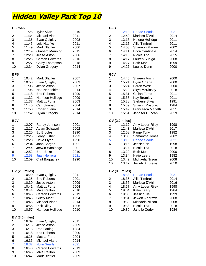### **Hidden Valley Park Top 10**

| <b>B</b> Frosh           |                                |                             |      | <b>GFS</b>              |                       |                       |      |
|--------------------------|--------------------------------|-----------------------------|------|-------------------------|-----------------------|-----------------------|------|
| 1                        | 11:25                          | <b>Tyler Allan</b>          | 2019 | 1                       | 12:13                 | <b>Renae Searls</b>   | 2021 |
| $\overline{\mathbf{c}}$  | 11:34                          | Michael Viano               | 2011 | $\overline{c}$          | 12:50                 | Marissa D'Atri        | 2014 |
| 3                        | 11:36                          | Evan Quigley                | 2008 | 3                       | 13:13                 | Helene Hollidge       | 2011 |
| 4                        | 11:45                          | Luis Haefke                 | 2011 | 4                       | 13:17                 | <b>Allie Timbrell</b> | 2011 |
| $\,$ 5 $\,$              | 11:49                          | <b>Mark Blattler</b>        | 2006 | 5                       | 14:03                 | <b>Shannon Manuel</b> | 2002 |
| $\,6$                    | 12:19                          | <b>Graham Manning</b>       | 2015 | 6                       | 14:11                 | Erica Cardinale       | 2014 |
| $\overline{7}$           | 12:20                          | Jesse Aston                 | 2006 | $\overline{7}$          | 14:16                 | Nicole Tria           | 2015 |
|                          |                                |                             |      |                         |                       |                       |      |
| 8                        | 12:26                          | <b>Carson Edwards</b>       | 2016 | 8                       | 14:17                 | Lauren Suniga         | 2008 |
| 9                        | 12:27                          | Colby Thompson              | 2018 | $\boldsymbol{9}$        | 14:27                 | <b>Beth Mork</b>      | 1999 |
| 10                       | 12:34                          | <b>Dylan Gregory</b>        | 2014 | $\boldsymbol{9}$        | 14:27                 | Louise Dunn           | 2000 |
| <b>BFS</b>               |                                |                             |      | <b>GJV</b>              |                       |                       |      |
| $\mathbf{1}$             | 10:42                          | <b>Mark Blattler</b>        | 2007 | 1                       | 14:46                 | Shireen Amini         | 2000 |
| $\overline{\mathbf{c}}$  | 10:50                          | Evan Quigley                | 2009 | $\overline{c}$          | 15:21                 | Dyan Ortega           | 2000 |
| 3                        | 11:03                          | Jesse Aston                 | 2007 | 3                       | 15:24                 | Sarah West            | 2000 |
|                          | 11:05                          | Noa Nabeshima               | 2014 |                         |                       |                       |      |
| $\overline{\mathcal{A}}$ |                                |                             |      | 4                       | 15:29                 | <b>Skye McKinsey</b>  | 2018 |
| 5                        | 11:18                          | <b>Eric Roberts</b>         | 1999 | 5                       | 15:31                 | Cailan Ferrel         | 2011 |
| $\,6$                    | 11:32                          | Harrison Hollidge           | 2009 | 6                       | 15:36                 | Kay Bromley           | 2011 |
| $\overline{\mathbf{7}}$  | 11:37                          | Matt LoForte                | 2003 | $\overline{7}$          | 15:38                 | Stefanie Silva        | 1991 |
| 8                        | 11:40                          | Carl Swanson                | 2004 | 8                       | 15:39                 | Susann Rosburg        | 1984 |
| 9                        | 11:50                          | Robert Viano                | 2014 | 9                       | 15:49                 | Francesca Marietti    | 2011 |
| 10                       | 11:52                          | <b>Dylan Gregory</b>        | 2014 | 10                      | 15:51                 | Jennifer Duncan       | 2019 |
| <b>BJV</b>               |                                |                             |      |                         | <b>GV (2.0 miles)</b> |                       |      |
| $\mathbf{1}$             | 12:07                          | Randy Johnson               | 2001 |                         | 12:12                 | Amy Loper-Riley       | 1998 |
|                          |                                |                             |      | 1                       |                       |                       |      |
| $\overline{\mathbf{c}}$  | 12:17                          | Adam Schawel                | 2002 | $\overline{c}$          | 12:43                 | Marissa D'Atri        | 2017 |
| 3                        | 12:20                          | Ed Broyles                  | 1990 | 3                       | 12:58                 | Paige Tully           | 1982 |
| 4                        | 12:25                          | Leroy Fisher                | 1993 | 4                       | 13:03                 | Samantha Jones        | 2002 |
| $\mathbf 5$              | 12:28                          | Dave Flynn                  | 1990 | 5                       | 13:10                 | <b>Renae Searls</b>   | 2021 |
| $\,6$                    | 12:34                          | John Borges                 | 1991 | 6                       | 13:16                 | Jessica Neu           | 1998 |
| $\overline{\mathbf{7}}$  | 12:44                          | Jerwin Woolridge            | 2001 | $\overline{\mathbf{7}}$ | 13:24                 | Nicole Tria           | 2018 |
| 8                        | 12:52                          | <b>Brett Enke</b>           | 2010 | 8                       | 13:29                 | <b>Beth Mork</b>      | 2000 |
| 9                        | 12:53                          | <b>Juan Herrera</b>         | 2021 | 9                       | 13:34                 | Katie Leary           | 1982 |
| 10                       | 12:59                          | <b>Clint Baggarley</b>      | 1990 | 10                      | 13:42                 | Michaela Nilson       | 2008 |
|                          |                                |                             |      | 10                      | 13:42                 | Jewelz Andrews        | 2010 |
|                          |                                |                             |      |                         |                       |                       |      |
|                          | <b>BV (2.0 miles)</b>          |                             |      |                         | <b>GV (3.0 miles)</b> |                       |      |
| 1                        | 10:20                          | <b>Evan Quigley</b>         | 2011 | 1                       | 18:33                 | <b>Renae Searls</b>   | 2021 |
| 2                        | 10:25                          | <b>Eric Roberts</b>         | 2001 | $\overline{\mathbf{c}}$ | 18:36                 | <b>Allie Timbrell</b> | 2014 |
| 3                        | 10:30                          | Jesse Aston                 | 2009 | 3                       | 18:56                 | Marissa D'Atri        | 2016 |
| 4                        | 10:41                          | Matt LoForte                | 2004 | 4                       | 18:57                 | Amy Loper-Riley       | 1998 |
| 5                        | 10:44                          | <b>Mike Railton</b>         | 2010 | 5                       | 19:04                 | Katie Leary           | 1984 |
| 6                        | 10:45                          | Carson Edwards              | 2019 | 6                       | 19:30                 | Jessica Neu           | 1999 |
| 7                        | 10:46                          | <b>Gusty Maat</b>           | 1994 | $\overline{7}$          | 19:31                 | Jewelz Andrews        | 2008 |
| 7                        | 10:46                          | Michael Viano               | 2014 | 8                       | 19:32                 | Michaela Nilson       | 2008 |
| 9                        | 10:55                          | <b>Rick Riley</b>           | 1996 | 9                       | 19:38                 | Nicole Tria           | 2018 |
| 10                       | 10:57                          | Harrison Hollidge           | 2010 | 10                      | 19:39                 | Janelle Corbyn        | 1984 |
|                          |                                |                             |      |                         |                       |                       |      |
|                          | <b>BV (3.0 miles)</b><br>16:09 |                             | 2011 |                         |                       |                       |      |
| 1                        | 16:15                          | Evan Quigley<br>Jesse Aston | 2009 |                         |                       |                       |      |
| 2                        |                                |                             |      |                         |                       |                       |      |
| 3                        | 16:18                          | <b>Rob Latting</b>          | 1984 |                         |                       |                       |      |
| 4                        | 16:18                          | <b>Eric Roberts</b>         | 2000 |                         |                       |                       |      |
| 5                        | 16:26                          | Matt LoForte                | 2004 |                         |                       |                       |      |
| 6                        | 16:36                          | Michael Viano               | 2014 |                         |                       |                       |      |
| 7                        | 16:37                          | <b>Nolin Searls</b>         | 2021 |                         |                       |                       |      |
| 8                        | 16:40                          | Carson Edwards              | 2019 |                         |                       |                       |      |
| 9                        | 16:46                          | <b>Mike Railton</b>         | 2009 |                         |                       |                       |      |
| 10                       | 16:47                          | <b>Mark Blattler</b>        | 2009 |                         |                       |                       |      |

| 1<br>$\overline{c}$<br>3<br>4<br>5<br>6<br>$\overline{7}$<br>8<br>9<br>9                    | 12:13<br>12:50<br>13:13<br>13:17<br>14:03<br>14:11<br>14:16<br>14:17<br>14:27<br>14:27                 | <b>Renae Searls</b><br>Marissa D'Atri<br>Helene Hollidge<br><b>Allie Timbrell</b><br><b>Shannon Manuel</b><br>Erica Cardinale<br>Nicole Tria<br>Lauren Suniga<br><b>Beth Mork</b><br>Louise Dunn       | 2021<br>2014<br>2011<br>2011<br>2002<br>2014<br>2015<br>2008<br>1999<br>2000         |
|---------------------------------------------------------------------------------------------|--------------------------------------------------------------------------------------------------------|--------------------------------------------------------------------------------------------------------------------------------------------------------------------------------------------------------|--------------------------------------------------------------------------------------|
| GJV<br>1<br>$\overline{c}$<br>3<br>4<br>5<br>6<br>$\overline{7}$<br>8<br>9<br>10            | 14:46<br>15:21<br>15:24<br>15:29<br>15:31<br>15:36<br>15:38<br>15:39<br>15:49<br>15:51                 | Shireen Amini<br>Dyan Ortega<br>Sarah West<br><b>Skye McKinsey</b><br>Cailan Ferrel<br>Kay Bromley<br>Stefanie Silva<br>Susann Rosburg<br>Francesca Marietti<br>Jennifer Duncan                        | 2000<br>2000<br>2000<br>2018<br>2011<br>2011<br>1991<br>1984<br>2011<br>2019         |
| <b>GV (2.0 miles)</b><br>1<br>$\overline{c}$<br>3<br>4<br>5<br>6<br>7<br>8<br>9<br>10<br>10 | 12:12<br>12:43<br>12:58<br>13:03<br>13:10<br>13:16<br>13:24<br>13:29<br>13:34<br>13:42<br>13:42        | Amy Loper-Riley<br>Marissa D'Atri<br>Paige Tully<br>Samantha Jones<br><b>Renae Searls</b><br>Jessica Neu<br>Nicole Tria<br><b>Beth Mork</b><br>Katie Leary<br>Michaela Nilson<br><b>Jewelz Andrews</b> | 1998<br>2017<br>1982<br>2002<br>2021<br>1998<br>2018<br>2000<br>1982<br>2008<br>2010 |
| 1<br>$\overline{2}$<br>3<br>4<br>5<br>6<br>$\overline{7}$<br>8<br>9                         | <b>GV (3.0 miles)</b><br>18:33<br>18:36<br>18:56<br>18:57<br>19:04<br>19:30<br>19:31<br>19:32<br>19:38 | <b>Renae Searls</b><br><b>Allie Timbrell</b><br>Marissa D'Atri<br>Amy Loper-Riley<br>Katie Leary<br>Jessica Neu<br><b>Jewelz Andrews</b><br>Michaela Nilson<br>Nicole Tria                             | 2021<br>2014<br>2016<br>1998<br>1984<br>1999<br>2008<br>2008<br>2018                 |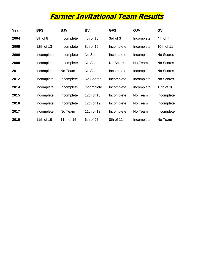## **Farmer Invitational Team Results**

| Year | <b>BFS</b> | <b>BJV</b> | BV         | <b>GFS</b> | <b>GJV</b> | GV         |
|------|------------|------------|------------|------------|------------|------------|
| 2004 | 8th of 8   | Incomplete | 4th of 10  | 3rd of 3   | Incomplete | 4th of 7   |
| 2005 | 12th of 13 | Incomplete | 8th of 16  | Incomplete | Incomplete | 10th of 11 |
| 2006 | Incomplete | Incomplete | No Scores  | Incomplete | Incomplete | No Scores  |
| 2008 | Incomplete | Incomplete | No Scores  | No Scores  | No Team    | No Scores  |
| 2011 | Incomplete | No Team    | No Scores  | Incomplete | Incomplete | No Scores  |
| 2012 | Incomplete | Incomplete | No Scores  | Incomplete | Incomplete | No Scores  |
| 2014 | Incomplete | Incomplete | Incomplete | Incomplete | Incomplete | 15th of 18 |
| 2015 | Incomplete | Incomplete | 12th of 18 | Incomplete | No Team    | Incomplete |
| 2016 | Incomplete | Incomplete | 12th of 19 | Incomplete | No Team    | Incomplete |
| 2017 | Incomplete | No Team    | 11th of 13 | Incomplete | No Team    | Incomplete |
| 2019 | 11th of 19 | 11th of 15 | 6th of 27  | 8th of 11  | Incomplete | No Team    |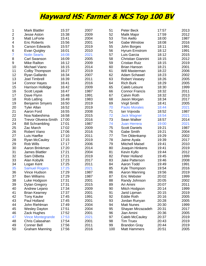### **Hayward HS: Farmer & NCS Top 100 BV**

| 1  | <b>Mark Blattler</b>         | 15:37 | 2007 | 51  | Peter Beck             | 17:57 | 2013 |
|----|------------------------------|-------|------|-----|------------------------|-------|------|
| 2  | <b>Jesse Aston</b>           | 15:38 | 2009 | 52  | Malik Major            | 17:59 | 2012 |
| 3  | Matt LoForte                 | 15:41 | 2004 | 53  | <b>Tim Aiello</b>      | 18:00 | 1987 |
| 4  | <b>Eric Roberts</b>          | 15:56 | 2001 | 54  | <b>Gabe Winslow</b>    | 18:08 | 2016 |
| 5  | <b>Carson Edwards</b>        | 15:57 | 2019 | 55  | John Borges            | 18:11 | 1991 |
| 6  | Evan Quigley                 | 16:01 | 2010 | 56  | Hyrum Ernstrom         | 18:12 | 1991 |
| 7  | <b>Nolin Searls</b>          | 16:08 | 2021 | 57  | Luis Garcia            | 18:12 | 2015 |
| 8  | <b>Carl Swanson</b>          | 16:09 | 2005 | 58  | Christian Giannini     | 18:15 | 2012 |
| 9  | <b>Mike Railton</b>          | 16:12 | 2009 | 59  | <b>Cristian Ruiz</b>   | 18:15 | 2019 |
| 10 | Michael Viano                | 16:15 | 2014 | 60  | <b>Brian Hanson</b>    | 18:21 | 2001 |
| 11 | Colby Thompson               | 16:27 | 2019 | 61  | Will Masterman         | 18:22 | 2006 |
| 12 | Ryan Gallardo                | 16:34 | 2007 | 62  | Adam Schawel           | 18:23 | 2002 |
| 13 | Joel Timbrell                | 16:39 | 2011 | 63  | <b>Robert Veasey</b>   | 18:26 | 2005 |
| 14 | <b>Connor Hayes</b>          | 16:41 | 2016 | 64  | <b>Rich Burk</b>       | 18:29 | 2005 |
| 15 | Harrison Hollidge            | 16:42 | 2009 | 65  | Caleb Leisure          | 18:30 | 1999 |
| 16 | Scott Lepak                  | 16:47 | 1987 | 66  | <b>Connor Francis</b>  | 18:32 | 2011 |
| 17 | Dave Flynn                   | 16:48 | 1991 | 67  | <b>Calvin Roth</b>     | 18:32 | 2013 |
| 18 | <b>Rob Latting</b>           | 16:49 | 1983 | 68  | Jason Morgan           | 18:34 | 2017 |
| 19 | <b>Benjamin Smyers</b>       | 16:50 | 2019 | 69  | Virgil Smith           | 18:41 | 2005 |
| 20 | <b>Tyler Allan</b>           | 16:52 | 2019 | 70  | <b>Paolo Morales</b>   | 18:44 | 2021 |
| 21 | Aaron Ford                   | 16:55 | 2008 | 71  | lan Vojvoda            | 18:52 | 1987 |
| 22 | Noa Nabeshima                | 16:58 | 2015 | 72  | <b>Jack Wagner</b>     | 18:54 | 2021 |
| 23 | <b>Trevor Oliveira-Smith</b> | 17:00 | 2016 | 73  | Sean Walker            | 18:57 | 2014 |
| 24 | <b>Bill Schrambling</b>      | 17:01 | 1987 | 74  | <b>Juan Herrera</b>    | 19:00 | 2021 |
| 25 | Zac March                    | 17:02 | 2009 | 75  | <b>Scott Daniels</b>   | 19:21 | 1987 |
| 26 | <b>Robert Viano</b>          | 17:06 | 2016 | 76  | <b>Gabe Smith</b>      | 19:21 | 2004 |
| 27 | Luis Haefke                  | 17:10 | 2011 | 77  | Tim Oldenkamp          | 19:29 | 2002 |
| 28 | <b>Ryan McCauley</b>         | 17:15 | 2019 | 78  | Jaime Ayala            | 19:39 | 2017 |
| 29 | Rob Wills                    | 17:17 | 2006 | 79  | <b>Mitchell Maisel</b> | 19:41 | 2010 |
| 30 | Aaron Brinkman               | 17:20 | 2014 | 80  | Joaquin Hinkens        | 19:41 | 2019 |
| 31 | James Blattler               | 17:21 | 2004 | 81  | Kevin Kyllo            | 19:44 | 2012 |
| 32 | Sam DiBetta                  | 17:21 | 2019 | 82  | Peter Holland          | 19:45 | 1999 |
| 33 | Alan Kobylik                 | 17:23 | 2017 | 83  | Jake Patterson         | 19:46 | 2008 |
| 34 | Logan Kent                   | 17:25 | 2011 | 84  | Aaron Todd             | 19:49 | 1991 |
| 35 | <b>Samuel Rogers</b>         | 17:25 | 2021 | 85  | Kyle Thompson          | 19:54 | 2016 |
| 36 | Vince Hudson                 | 17:29 | 1987 | 86  | Aaron Manning          | 19:56 | 2019 |
| 37 | <b>Ben Williams</b>          | 17:29 | 1987 | 87  | Eric Webster           | 20:02 | 1999 |
| 38 | Luke Hodgson                 | 17:31 | 2001 | 88  | Randy Johnson          | 20:05 | 2002 |
| 39 | <b>Dylan Gregory</b>         | 17:31 | 2015 | 89  | Ari Amini              | 20:07 | 2011 |
| 40 | Andrew Lejano                | 17:34 | 2009 | 90  | Mitch Hodgson          | 20:14 | 1999 |
| 41 | <b>Brian Kearney</b>         | 17:37 | 2001 | 91  | Jarid Lipman           | 20:15 | 2019 |
| 42 | <b>Tony Kauke</b>            | 17:45 | 1991 | 92  | <b>Eddie Roth</b>      | 20:16 | 2005 |
| 43 | Paul Holland                 | 17:45 | 2001 | 93  | Jordan Runyan          | 20:28 | 2005 |
| 44 | John Riehlman                | 17:49 | 2004 | 94  | <b>Matt Nunes</b>      | 20:30 | 1999 |
| 45 | <b>Wesley Dayton</b>         | 17:51 | 2004 | 95  | Shayan Mirzazadeh      | 20:31 | 2017 |
| 46 | Zack Hughes                  | 17:52 | 2001 | 96  | Jian Amini             | 20:36 | 2005 |
| 47 | <b>Vince Montegrande</b>     | 17:53 | 2021 | 97  | Caleb McCauley         | 20:37 | 2019 |
| 48 | Chris Calasahan              | 17:54 | 2001 | 98  | <b>Tim Truex</b>       | 20:43 | 2019 |
| 49 | <b>Conner Bell</b>           | 17:56 | 2011 | 99  | <b>Brandon Gray</b>    | 20:44 | 2019 |
| 50 | <b>Graham Manning</b>        | 17:56 | 2016 | 100 | <b>Matt Hammers</b>    | 20:51 | 2005 |
|    |                              |       |      |     |                        |       |      |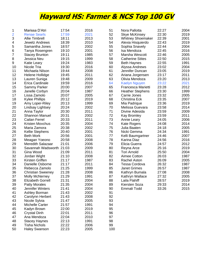### **Hayward HS: Farmer & NCS Top 100 GV**

| 1              | Marissa D'Atri           | 17:54 | 2016 | 51  | Nora Pallotta            | 22:27 | 2004 |
|----------------|--------------------------|-------|------|-----|--------------------------|-------|------|
| 2              | <b>Renae Searls</b>      | 17:59 | 2021 | 52  | <b>Skye McKinsey</b>     | 22:30 | 2019 |
| 3              | <b>Allie Timbrell</b>    | 18:11 | 2013 | 53  | <b>Whitney Shoemaker</b> | 22:39 | 2001 |
| 4              | <b>Jewelz Andrews</b>    | 18:39 | 2010 | 54  | Alexia Hisquierdo        | 22:43 | 2019 |
| 5              | Samantha Jones           | 18:57 | 2002 | 55  | Sophia Snavely           | 22:44 | 2004 |
| 6              | Tanya Rosengren          | 19:10 | 2001 | 56  | Isa Mendoza              | 22:45 | 2016 |
| $\overline{7}$ | <b>Stacey Brunton</b>    | 19:11 | 1985 | 57  | Marsha Wescott           | 22:46 | 2005 |
| 8              | Jessica Neu              | 19:15 | 1999 | 58  | <b>Catherine Stites</b>  | 22:50 | 2015 |
| 9              | Katie Leary              | 19:24 | 1983 | 59  | <b>Beth Haynes</b>       | 22:55 | 1991 |
| 10             | Nicole Tria              | 19:30 | 2016 | 60  | Alyssa Andrews           | 23:02 | 2004 |
| 11             | Michaela Nilson          | 19:44 | 2008 | 61  | Jennifer Duncan          | 23:05 | 2019 |
| 12             | Helene Hollidge          | 19:45 | 2011 | 62  | Ariana Jorgensen         | 23:17 | 2011 |
| 13             | Lauren Suniga            | 19:48 | 2009 | 63  | Olivia Mendoza           | 23:20 | 2013 |
| 14             | Erica Cardinale          | 19:59 | 2016 | 64  | <b>Kaelyn Nguyen</b>     | 23:22 | 2021 |
| 15             | Sammy Parker             | 20:00 | 2007 | 65  | Francesca Marietti       | 23:28 | 2012 |
| 16             | Janelle Corbyn           | 20:04 | 1987 | 66  | <b>Heather Stephens</b>  | 23:30 | 1999 |
| 17             | Lissa Zamolo             | 20:07 | 2005 | 67  | Carrie Jones             | 23:32 | 2005 |
| 18             | <b>Kylee Phillips</b>    | 20:12 | 2019 | 68  | Christina Eck            | 23:35 | 2007 |
| 19             | Amy Loper-Riley          | 20:13 | 1999 | 69  | Mia Padrique             | 23:36 | 2019 |
| 20             | Lindsay Lightsey         | 20:24 | 2002 | 70  | Melissa Guevara          | 23:58 | 2014 |
| 21             | Anna Taylor              | 20:30 | 2011 | 71  | Divine Adesida           | 23:59 | 2009 |
| 22             | <b>Shannon Manuel</b>    | 20:31 | 2002 | 72  | Kay Bromley              | 23:59 | 2011 |
| 23             | <b>Cailan Ferrel</b>     | 20:33 | 2011 | 73  | Annie Leary              | 24:05 | 2006 |
| 24             | Kristen Movchus          | 20:35 | 2004 | 74  | <b>Kate Rogers</b>       | 24:08 | 2014 |
| 25             | Maria Zamora             | 20:38 | 2002 | 75  | Julia Baaten             | 24:18 | 2005 |
| 26             | Kellie Stephens          | 20:40 | 2001 | 76  | Nicki Gemma              | 24:34 | 1991 |
| 27             | <b>Beth Mork</b>         | 20:56 | 2001 | 77  | Kelli Baumgartner        | 24:46 | 2007 |
| 28             | Meagan Yoeono            | 20:58 | 2008 | 78  | Karina Diaz              | 24:56 | 2016 |
| 29             | <b>Meredith Salazaar</b> | 21:01 | 2006 | 79  | Elicia Guerra            | 24:57 | 2012 |
| 30             | Savannah Wadsworth       | 21:03 | 2009 | 80  | Reyna Arce               | 25:16 | 2019 |
| 31             | Gina Wood                | 21:09 | 2011 | 81  | <b>Tori Arnold</b>       | 25:50 | 2004 |
| 32             | Jordan Wight             | 21:10 | 2008 | 82  | Aimee Cotton             | 26:03 | 1987 |
| 33             | Kirsten Griffen          | 21:17 | 1987 | 83  | Rachel Aston             | 26:09 | 2005 |
| 34             | Danielle Osborne         | 21:17 | 2011 | 84  | <b>Tessa Cordova</b>     | 26:32 | 1987 |
| 35             | Rebecca Zamolo           | 21:25 | 1999 | 85  | <b>Janet Grimes</b>      | 26:57 | 1987 |
| 36             | <b>Christian Sweeney</b> | 21:28 | 2008 | 86  | Kathryn Bumala           | 27:08 | 2008 |
| 37             | <b>Molly McNerney</b>    | 21:29 | 1991 | 87  | Kathryn Wallace          | 27:32 | 2005 |
| 38             | <b>Elizabeth Gorrell</b> | 21:31 | 2004 | 88  | Laila Flahiff            | 28:57 | 2019 |
| 39             | <b>Patty Morales</b>     | 21:35 | 2004 | 89  | Kiersten Soza            | 29:33 | 2014 |
| 40             | Jennifer Winters         | 21:41 | 2004 | 90  | Emmali Todd              | 33:26 | 2015 |
| 41             | Ashley Borman            | 21:43 | 2002 | 91  |                          |       |      |
| 42             | Carolynn Herbert         | 21:43 | 2008 | 92  |                          |       |      |
| 43             | Nicole Sylvia            | 21:47 | 2005 | 93  |                          |       |      |
| 44             | Michelle Carter          | 21:57 | 1991 | 94  |                          |       |      |
| 45             | Kadyn Brown              | 22:00 | 2019 | 95  |                          |       |      |
| 46             | <b>Crystal Dinh</b>      | 22:01 | 2011 | 96  |                          |       |      |
| 47             | Ana Mendoza              | 22:04 | 2010 | 97  |                          |       |      |
| 48             | <b>Stacey Haynes</b>     | 22:13 | 1991 | 98  |                          |       |      |
| 49             | <b>Tisha Nichols</b>     | 22:22 | 2006 | 99  |                          |       |      |
| 50             | <b>Haley Swanson</b>     | 22:23 | 2005 | 100 |                          |       |      |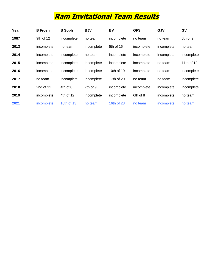### **Ram Invitational Team Results**

| Year | <b>B</b> Frosh | <b>B</b> Soph | <b>BJV</b> | BV         | <b>GFS</b> | <b>GJV</b> | GV         |
|------|----------------|---------------|------------|------------|------------|------------|------------|
| 1987 | 9th of 12      | incomplete    | no team    | incomplete | no team    | no team    | 6th of 9   |
| 2013 | incomplete     | no team       | incomplete | 5th of 15  | incomplete | incomplete | no team    |
| 2014 | incomplete     | incomplete    | no team    | incomplete | incomplete | incomplete | incomplete |
| 2015 | incomplete     | incomplete    | incomplete | incomplete | incomplete | no team    | 11th of 12 |
| 2016 | incomplete     | incomplete    | incomplete | 10th of 19 | incomplete | no team    | incomplete |
| 2017 | no team        | incomplete    | incomplete | 17th of 20 | no team    | no team    | incomplete |
| 2018 | 2nd of 11      | 4th of 8      | 7th of 9   | incomplete | incomplete | incomplete | incomplete |
| 2019 | incomplete     | 4th of 12     | incomplete | incomplete | 6th of 8   | incomplete | no team    |
| 2021 | incomplete     | 10th of 13    | no team    | 16th of 28 | no team    | incomplete | no team    |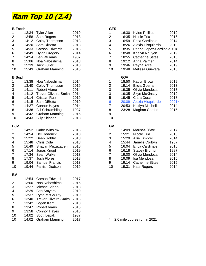

### **B Frosh GFS**

| 1                       | 13:34 | <b>Tyler Allan</b>           | 2019 | 1                       | 16:30      | <b>Kylee Phillips</b>             | 2019  |
|-------------------------|-------|------------------------------|------|-------------------------|------------|-----------------------------------|-------|
| $\overline{\mathbf{c}}$ | 13:58 | Sam Rogers                   | 2018 | $\overline{\mathbf{c}}$ | 16:35      | Nicole Tria                       | 2016  |
| 3                       | 14:12 | <b>Colby Thompson</b>        | 2018 | 3                       | 16:59      | Erica Cardinale                   | 2014  |
| 4                       | 14:20 | Sam DiBetta                  | 2018 | 4                       |            | 18:26 Alexia Hisquierdo           | 2019  |
| 5                       | 14:33 | <b>Carson Edwards</b>        | 2016 | 5                       | 18:35      | Pearla Lopez-Cardinale2018        |       |
| $\,6$                   | 14:49 | <b>Dylan Gregory</b>         | 2014 | 6                       | 18:48      | Kaelyn Nguyen                     | 2019  |
| $\overline{7}$          | 14:54 | <b>Ben Williams</b>          | 1987 | $\overline{7}$          | 18:55      | <b>Catherine Stites</b>           | 2013  |
| 8                       | 15:06 | Noa Nabeshima                | 2013 | 8                       | 19:12      | Anna Palmer                       | 2014  |
| 9                       | 15:39 | Jack Fuller                  | 2013 | 9                       | 19:46      | Reyna Arce                        | 2019  |
| 10                      | 15:43 | <b>Graham Manning</b>        | 2015 | 10                      | 19:48      | Melissa Guevara                   | 2013  |
| <b>B</b> Soph           |       |                              |      |                         | <b>GJV</b> |                                   |       |
| 1                       | 13:38 | Noa Nabeshima                | 2014 | 1                       | 18:50      | Kadyn Brown                       | 2019  |
| $\overline{\mathbf{c}}$ | 13:40 | <b>Colby Thompson</b>        | 2019 | $\mathbf{2}$            | 19:14      | Elicia Guerra                     | 2013  |
| 3                       | 14:11 | Robert Viano                 | 2014 | 3                       | 19:35      | Olivia Mendoza                    | 2013  |
| $\overline{\mathbf{4}}$ | 14:12 | <b>Trevor Oliveira-Smith</b> | 2014 | 3                       | 19:35      | <b>Skye McKinsey</b>              | 2019  |
| 5                       | 14:14 | <b>Cristian Ruiz</b>         | 2019 | 5                       | 19:45      | Clara Duran                       | 2018  |
| $\,6$                   | 14:15 | Sam DiBetta                  | 2019 | $6\phantom{a}$          | 20:09      | Alexia Hisquierdo                 | 2021* |
| $\overline{7}$          | 14:27 | <b>Connor Hayes</b>          | 2014 | $\overline{7}$          | 20:53      | Kaitlyn Mitchell                  | 2014  |
| 8                       | 14:38 | <b>Bill Schrambling</b>      | 1987 | 8                       | 23:28      | Maghan Combs                      | 2015  |
| 9                       | 14:42 | <b>Graham Manning</b>        | 2016 | 9                       |            |                                   |       |
| 10                      | 14:43 | <b>Billy Skinner</b>         | 2018 | 10                      |            |                                   |       |
| <b>BJV</b>              |       |                              |      | GV                      |            |                                   |       |
| 1                       | 14:52 | <b>Gabe Winslow</b>          | 2015 | 1                       | 14:09      | Marissa D'Atri                    | 2017  |
| $\overline{\mathbf{c}}$ | 14:54 | Del Roderick                 | 2018 | $\boldsymbol{2}$        | 15:21      | Nicole Tria                       | 2018  |
| 3                       | 15:22 | Deen Sobhy                   | 2018 | 3                       | 15:29      | Allie Timbrell                    | 2014  |
| $\overline{\mathbf{4}}$ | 15:48 | Chris Cota                   | 2018 | $\overline{\mathbf{4}}$ | 15:44      | Janelle Corbyn                    | 1987  |
| 5                       | 16:49 | Shayan Mirzazadeh            | 2016 | 5                       | 16:04      | Erica Cardinale                   | 2016  |
| $\,6$                   | 17:14 | Jonas Knopf                  | 2019 | $\,6$                   | 16:18      | <b>Stacey Brunton</b>             | 1987  |
| $\overline{7}$          | 17:34 | Sean Walker                  | 2013 | $\overline{7}$          | 19:00      | Olivia Mendoza                    | 2014  |
| 8                       | 17:37 | Josh Flores                  | 2018 | 8                       | 19:09      | Isa Mendoza                       | 2016  |
| 9                       | 19:04 | <b>Samuel Francis</b>        | 2013 | 9                       | 19:14      | <b>Catherine Stites</b>           | 2015  |
| 10                      | 19:44 | Parrish Dodson               | 2019 | 10                      | 19:31      | <b>Kate Rogers</b>                | 2014  |
| BV                      |       |                              |      |                         |            |                                   |       |
| 1                       | 12:54 | <b>Carson Edwards</b>        | 2017 |                         |            |                                   |       |
| 2                       | 13:00 | Noa Nabeshima                | 2015 |                         |            |                                   |       |
| 3                       | 13:27 | Michael Viano                | 2013 |                         |            |                                   |       |
| 4                       | 13:29 | <b>Ben Smyers</b>            | 2019 |                         |            |                                   |       |
| 5                       | 13:37 | <b>Ryan McCauley</b>         | 2019 |                         |            |                                   |       |
| 6                       | 13:40 | <b>Trevor Oliveira-Smith</b> | 2016 |                         |            |                                   |       |
| 7                       | 13:42 | Logan Kent                   | 2013 |                         |            |                                   |       |
| 8                       | 13:47 | Robert Viano                 | 2015 |                         |            |                                   |       |
| 9                       | 13:58 | <b>Connor Hayes</b>          | 2016 |                         |            |                                   |       |
| 10                      | 14:02 | Scott Lepak                  | 1987 |                         |            |                                   |       |
| 10                      | 14:02 | <b>Graham Manning</b>        | 2017 |                         |            | $* = 2.6$ mile course run in 2021 |       |
|                         |       |                              |      |                         |            |                                   |       |

| GFS    |       |                            |       |
|--------|-------|----------------------------|-------|
| 1      | 16:30 | <b>Kylee Phillips</b>      | 2019  |
|        | 16:35 | Nicole Tria                | 2016  |
| 2<br>3 | 16:59 | Erica Cardinale            | 2014  |
| 4      | 18:26 | Alexia Hisquierdo          | 2019  |
| 5      | 18:35 | Pearla Lopez-Cardinale2018 |       |
| 6<br>7 | 18:48 | Kaelyn Nguyen              | 2019  |
|        | 18:55 | <b>Catherine Stites</b>    | 2013  |
| 8      | 19:12 | Anna Palmer                | 2014  |
| 9      | 19:46 | Reyna Arce                 | 2019  |
| 10     | 19:48 | Melissa Guevara            | 2013  |
|        |       |                            |       |
|        | GJV   |                            |       |
| 1      | 18:50 | Kadyn Brown                | 2019  |
|        | 19:14 | Elicia Guerra              | 2013  |
| 2<br>3 | 19:35 | Olivia Mendoza             | 2013  |
| 3      | 19:35 | Skye McKinsey              | 2019  |
| 5      | 19:45 | Clara Duran                | 2018  |
| 6<br>7 | 20:09 | Alexia Hisquierdo          | 2021* |
|        | 20:53 | Kaitlyn Mitchell           | 2014  |
| 8      | 23:28 | Maghan Combs               | 2015  |
| 9      |       |                            |       |
| 10     |       |                            |       |
|        |       |                            |       |

| GV |       |                         |      |
|----|-------|-------------------------|------|
| 1  | 14:09 | Marissa D'Atri          | 2017 |
| 2  | 15:21 | Nicole Tria             | 2018 |
| 3  | 15:29 | <b>Allie Timbrell</b>   | 2014 |
| 4  | 15:44 | Janelle Corbyn          | 1987 |
| 5  | 16:04 | Erica Cardinale         | 2016 |
| 6  | 16:18 | <b>Stacey Brunton</b>   | 1987 |
| 7  | 19:00 | Olivia Mendoza          | 2014 |
| 8  | 19:09 | Isa Mendoza             | 2016 |
| 9  | 19:14 | <b>Catherine Stites</b> | 2015 |
| 10 | 19:31 | <b>Kate Rogers</b>      | 2014 |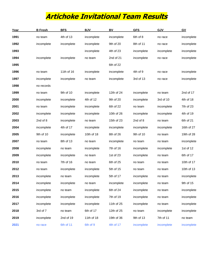### **Artichoke Invitational Team Results**

| Year | <b>B</b> Frosh | <b>BFS</b> | <b>BJV</b> | BV         | <b>GFS</b> | GJV        | $\underline{GV}$ |
|------|----------------|------------|------------|------------|------------|------------|------------------|
| 1991 | no team        | 4th of 13  | incomplete | incomplete | 6th of 8   | no race    | incomplete       |
| 1992 | incomplete     | incomplete | incomplete | 9th of 20  | 8th of 11  | no race    | incomplete       |
| 1993 |                |            | incomplete | 4th of 23  | incomplete | incomplete | incomplete       |
| 1994 | incomplete     | incomplete | no team    | 2nd of 21  | incomplete | no race    | incomplete       |
| 1995 |                |            |            | 6th of 22  |            |            |                  |
| 1996 | no team        | 11th of 16 | incomplete | incomplete | 4th of 9   | no race    | incomplete       |
| 1997 | incomplete     | incomplete | no team    | incomplete | 3rd of 13  | no race    | incomplete       |
| 1998 | no records     |            |            |            |            |            |                  |
| 1999 | no team        | 9th of 10  | incomplete | 12th of 24 | incomplete | no team    | 2nd of 17        |
| 2000 | incomplete     | incomplete | 4th of 12  | 9th of 20  | incomplete | 3rd of 10  | 4th of 18        |
| 2001 | no team        | incomplete | incomplete | 6th of 22  | no team    | incomplete | 7th of 23        |
| 2002 | incomplete     | incomplete | incomplete | 10th of 26 | incomplete | incomplete | 4th of 19        |
| 2003 | 2nd of 8       | incomplete | no team    | 15th of 23 | 2nd of 8   | no team    | 6th of 21        |
| 2004 | incomplete     | 4th of 17  | incomplete | incomplete | incomplete | incomplete | 16th of 27       |
| 2005 | 9th of 10      | incomplete | 10th of 18 | 8th of 26  | 9th of 10  | no team    | 19th of 28       |
| 2007 | no team        | 8th of 13  | no team    | incomplete | no team    | no team    | incomplete       |
| 2008 | incomplete     | no team    | incomplete | 7th of 16  | incomplete | incomplete | 1st of 12        |
| 2009 | incomplete     | incomplete | no team    | 1st of 23  | incomplete | no team    | 6th of 17        |
| 2010 | no team        | 7th of 16  | no team    | 6th of 25  | no team    | no team    | 10th of 17       |
| 2012 | no team        | incomplete | incomplete | 5th of 15  | no team    | no team    | 10th of 13       |
| 2013 | incomplete     | no team    | incomplete | 5th of 17  | incomplete | no team    | incomplete       |
| 2014 | incomplete     | incomplete | no team    | incomplete | incomplete | no team    | 9th of 15        |
| 2015 | incomplete     | no team    | incomplete | 6th of 24  | incomplete | no team    | incomplete       |
| 2016 | incomplete     | incomplete | incomplete | 7th of 19  | incomplete | no team    | incomplete       |
| 2017 | incomplete     | incomplete | incomplete | 11th of 25 | incomplete | no team    | incomplete       |
| 2018 | 3rd of 7       | no team    | 6th of 17  | 12th of 25 | no team    | incomplete | incomplete       |
| 2019 | incomplete     | 2nd of 19  | 11th of 18 | 19th of 36 | 9th of 13  | 7th of 11  | no team          |
| 2021 | no race        | 6th of 11  | 6th of 9   | 4th of 17  | incomplete | incomplete | incomplete       |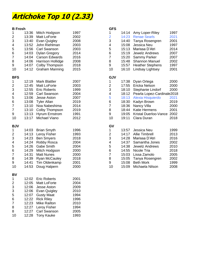### **Artichoke Top 10 (2.33)**

| <b>B</b> Frosh          |       |                          |      | <b>GFS</b>                |       |                            |      |
|-------------------------|-------|--------------------------|------|---------------------------|-------|----------------------------|------|
| 1                       | 13:36 | Mitch Hodgson            | 1997 | 1                         | 14:14 | Amy Loper-Riley            | 1997 |
| $\overline{\mathbf{c}}$ | 13:39 | Matt LoForte             | 2002 | $\overline{2}$            | 14:23 | <b>Renae Searls</b>        | 2021 |
| 3                       | 13:40 | Evan Quigley             | 2008 | 3                         | 14:40 | Tanya Rosengren            | 2001 |
| 4                       | 13:52 | John Riehlman            | 2003 | 4                         | 15:08 | Jessica Neu                | 1997 |
| 5                       | 13:56 | Carl Swanson             | 2003 | 5                         | 15:13 | Marissa D'Atri             | 2014 |
| $\,6$                   | 14:03 | <b>Dylan Gregory</b>     | 2014 | $\,6$                     | 15:19 | <b>Jewelz Andrews</b>      | 2007 |
| $\overline{7}$          | 14:04 | <b>Carson Edwards</b>    | 2016 | $\overline{7}$            | 15:20 | <b>Sammy Parker</b>        | 2007 |
| 8                       | 14:06 | <b>Harrison Hollidge</b> | 2008 | 8                         | 15:48 | <b>Shannon Manuel</b>      | 2002 |
| 9                       | 14:07 | Colby Thompson           | 2018 | 9                         | 15:57 | <b>Heather Stephens</b>    | 1997 |
| 10                      | 14:12 | <b>Graham Manning</b>    | 2015 | 10                        | 16:10 | Lindsay Lightsey           | 2001 |
| <b>BFS</b>              |       |                          |      | <b>GJV</b>                |       |                            |      |
| 1                       | 12:19 | <b>Mark Blattler</b>     | 2007 | 1                         | 17:38 | Dyan Ortega                | 2000 |
| $\boldsymbol{2}$        | 12:45 | Matt LoForte             | 2003 | $\overline{c}$            | 17:55 | Ericka Nelson              | 2000 |
| 3                       | 12:55 | <b>Eric Roberts</b>      | 1999 | $\ensuremath{\mathsf{3}}$ | 18:10 | Stephanie Lindorf          | 2000 |
| 4                       | 12:59 | Carl Swanson             | 2004 | $\overline{\mathbf{4}}$   | 18:12 | Pearla Lopez-Cardinale2018 |      |
| 5                       | 13:06 | Jesse Aston              | 2007 | 5                         | 18:13 | Alexia Hisquierdo          | 2021 |
| $\,6$                   | 13:08 | <b>Tyler Allan</b>       | 2019 | $\,6$                     | 18:30 | Kadyn Brown                | 2019 |
| $\overline{7}$          | 13:10 | Noa Nabeshima            | 2014 | $\overline{7}$            | 18:36 | Nancy Villa                | 2000 |
| $\overline{7}$          | 13:10 | Colby Thompson           | 2019 | 8                         | 18:44 | <b>Katie Hermens</b>       | 2001 |
| 9                       | 13:13 | <b>Hyrum Ernstrom</b>    | 1991 | 9                         | 19:05 | Kristal Duerloo-Vance 2002 |      |
| 10                      | 13:17 | Michael Viano            | 2012 | 10                        | 19:11 | Clara Duran                | 2018 |
| <b>BJV</b>              |       |                          |      | GV                        |       |                            |      |
| 1                       | 14:03 | <b>Brian Smyth</b>       | 1996 | 1                         | 13:57 | Jessica Neu                | 1999 |
| $\overline{\mathbf{c}}$ | 14:13 | Leroy Fisher             | 1993 | $\overline{c}$            | 14:17 | <b>Allie Timbrell</b>      | 2013 |
| 3                       | 14:23 | <b>Ben Smyers</b>        | 2018 | 3                         | 14:28 | Marissa D'Atri             | 2016 |
| 4                       | 14:24 | Robby Rosca              | 2004 | 4                         | 14:37 | Samantha Jones             | 2002 |
| 5                       | 14:26 | Gabe Smith               | 2004 | $\mathbf 5$               | 14:38 | <b>Jewelz Andrews</b>      | 2010 |
| 6                       | 14:29 | Mitch Hodgson            | 2000 | 6                         | 14:55 | Nicole Tria                | 2018 |
| $\overline{7}$          | 14:31 | <b>Matt Nunes</b>        | 2000 | $\overline{7}$            | 15:03 | Lissa Zamolo               | 2005 |
| 8                       | 14:39 | <b>Ryan McCauley</b>     | 2018 | 8                         | 15:05 | Tanya Rosengren            | 2002 |
| 9                       | 14:41 | Tim Oldenkamp            | 2001 | 9                         | 15:08 | <b>Beth Mork</b>           | 1999 |
| 10                      | 14:53 | Doug Halpern             | 2000 | 10                        | 15:09 | Michaela Nilson            | 2008 |
| BV                      |       |                          |      |                           |       |                            |      |
| 1                       | 12:02 | <b>Eric Roberts</b>      | 2001 |                           |       |                            |      |
| $\overline{\mathbf{c}}$ | 12:05 | Matt LoForte             | 2004 |                           |       |                            |      |
| 3                       | 12:06 | Jesse Aston              | 2009 |                           |       |                            |      |
| 3                       | 12:06 | Evan Quigley             | 2010 |                           |       |                            |      |
| 5                       | 12:07 | <b>Gusty Maat</b>        | 1994 |                           |       |                            |      |
| 6                       | 12:22 | <b>Rick Riley</b>        | 1996 |                           |       |                            |      |
| 7                       | 12:23 | Mike Railton             | 2010 |                           |       |                            |      |
| 8                       | 12:27 | Leroy Fisher             | 1994 |                           |       |                            |      |
| 8                       | 12:27 | Carl Swanson             | 2005 |                           |       |                            |      |
| 10                      | 12:28 | <b>Tony Kauke</b>        | 1993 |                           |       |                            |      |

12:28 Tony Kauke 1993

| ษгэ                     |       |                            |      |
|-------------------------|-------|----------------------------|------|
| 1                       | 14:14 | Amy Loper-Riley            | 1997 |
| $\overline{2}$          | 14:23 | <b>Renae Searls</b>        | 2021 |
| 3                       | 14:40 | Tanya Rosengren            | 2001 |
| 4                       | 15:08 | Jessica Neu                | 1997 |
| 5                       | 15:13 | Marissa D'Atri             | 2014 |
| 6                       | 15:19 | <b>Jewelz Andrews</b>      | 2007 |
| $\overline{7}$          | 15:20 | <b>Sammy Parker</b>        | 2007 |
| 8                       | 15:48 | <b>Shannon Manuel</b>      | 2002 |
| 9                       | 15:57 | <b>Heather Stephens</b>    | 1997 |
| 10                      | 16:10 | Lindsay Lightsey           | 2001 |
| <b>GJV</b>              |       |                            |      |
| 1                       | 17:38 | Dyan Ortega                | 2000 |
| $\overline{\mathbf{c}}$ | 17:55 | Ericka Nelson              | 2000 |
| 3                       | 18:10 | Stephanie Lindorf          | 2000 |
| 4                       | 18:12 | Pearla Lopez-Cardinale2018 |      |
| 5                       | 18:13 | Alexia Hisquierdo          | 2021 |
| 6                       | 18:30 | Kadyn Brown                | 2019 |
| $\overline{7}$          | 18:36 | Nancy Villa                | 2000 |
| 8                       | 18:44 | <b>Katie Hermens</b>       | 2001 |
| 9                       | 19:05 | Kristal Duerloo-Vance      | 2002 |
| 10                      | 19:11 | Clara Duran                | 2018 |
| GV                      |       |                            |      |
| 1                       | 13:57 | Jessica Neu                | 1999 |
| $\frac{2}{3}$           | 14:17 | <b>Allie Timbrell</b>      | 2013 |
|                         | 14:28 | Marissa D'Atri             | 2016 |
| 4                       | 14:37 | Samantha Jones             | 2002 |
| 5                       | 14:38 | <b>Jewelz Andrews</b>      | 2010 |
| 6                       | 14:55 | Nicole Tria                | 2018 |
| $\overline{7}$          | 15:03 | Lissa Zamolo               | 2005 |
| 8                       | 15:05 | Tanya Rosengren            | 2002 |
| 9                       | 15:08 | <b>Beth Mork</b>           | 1999 |
| 10                      | 15:09 | Michaela Nilson            | 2008 |
|                         |       |                            |      |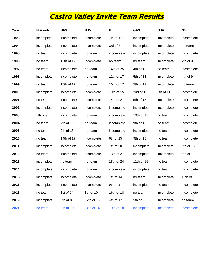### **Castro Valley Invite Team Results**

| Year | <b>B</b> Frosh | <b>BFS</b> | <b>BJV</b> | <b>BV</b>  | <b>GFS</b> | <b>GJV</b> | GV         |
|------|----------------|------------|------------|------------|------------|------------|------------|
| 1993 | incomplete     | incomplete | incomplete | 4th of 17  | incomplete | incomplete | incomplete |
| 1994 | incomplete     | incomplete | incomplete | 3rd of 8   | incomplete | incomplete | no team    |
| 1995 | no team        | incomplete | no team    | incomplete | incomplete | incomplete | incomplete |
| 1996 | no team        | 13th of 19 | incomplete | no team    | no team    | incomplete | 7th of 9   |
| 1997 | no team        | incomplete | no team    | 14th of 25 | 4th of 13  | no team    | incomplete |
| 1998 | incomplete     | incomplete | no team    | 12th of 17 | 5th of 12  | incomplete | 4th of 9   |
| 1999 | no team        | 15th of 17 | no team    | 10th of 17 | 5th of 12  | incomplete | no team    |
| 2000 | incomplete     | incomplete | incomplete | 10th of 15 | 2nd of 15  | 6th of 11  | incomplete |
| 2001 | no team        | incomplete | incomplete | 14th of 21 | 5th of 13  | incomplete | incomplete |
| 2002 | incomplete     | incomplete | incomplete | incomplete | incomplete | incomplete | incomplete |
| 2003 | 5th of 9       | incomplete | no team    | incomplete | 10th of 13 | no team    | incomplete |
| 2004 | no team        | 7th of 19  | no team    | incomplete | 9th of 13  | no team    | incomplete |
| 2006 | no team        | 9th of 18  | no team    | incomplete | incomplete | no team    | incomplete |
| 2010 | no team        | 14th of 17 | incomplete | 6th of 15  | 9th of 16  | no team    | incomplete |
| 2011 | incomplete     | incomplete | incomplete | 7th of 20  | incomplete | incomplete | 8th of 13  |
| 2012 | no team        | incomplete | incomplete | 13th of 21 | incomplete | incomplete | 6th of 11  |
| 2013 | incomplete     | no team    | no team    | 18th of 24 | 11th of 16 | no team    | incomplete |
| 2014 | incomplete     | incomplete | no team    | incomplete | incomplete | no team    | incomplete |
| 2015 | incomplete     | incomplete | incomplete | 7th of 14  | no team    | incomplete | 10th of 11 |
| 2016 | incomplete     | incomplete | incomplete | 9th of 17  | incomplete | no team    | incomplete |
| 2018 | no team        | 1st of 14  | 8th of 10  | 16th of 18 | no team    | incomplete | incomplete |
| 2019 | incomplete     | 5th of 8   | 12th of 13 | 4th of 17  | 5th of 8   | incomplete | no team    |
| 2021 | no team        | 8th of 10  | 14th of 14 | 10th of 18 | incomplete | incomplete | incomplete |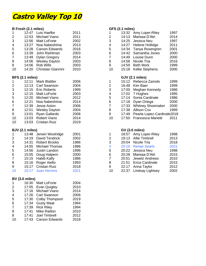### **Castro Valley Top 10**

|                           | B Frosh (2.1 miles) |                           |      |                         | GFS (2.1 miles) |                            |       |
|---------------------------|---------------------|---------------------------|------|-------------------------|-----------------|----------------------------|-------|
| 1                         | 12:47               | Luis Haefke               | 2011 | 1                       | 13:32           | Amy Loper-Riley            | 1997  |
| $\overline{c}$            | 12:53               | Michael Viano             | 2011 | $\overline{c}$          | 14:13           | Marissa D'Atri             | 2014  |
| 3                         | 12:56               | Matt LoForte              | 2002 | 3                       | 14:25           | Jessica Neu                | 1997  |
| $\overline{\mathbf{4}}$   | 13:27               | Noa Nabeshima             | 2013 | 4                       | 14:27           | Helene Hollidge            | 2011  |
| 5                         | 13:28               | <b>Carson Edwards</b>     | 2016 | 5                       | 14:34           | Tanya Rosengren            | 2001  |
| 6                         | 13:39               | John Riehlman             | 2003 | 6                       | 14:42           | Samantha Jones             | 2000  |
| $\overline{7}$            | 13:49               | Dylan Gregory             | 2014 | $\overline{7}$          | 14:49           | Louise Dunn                | 2000  |
| 8                         | 14:06               | <b>Wesley Dayton</b>      | 2003 | 8                       | 14:58           | Nicole Tria                | 2016  |
| 8                         | 14:06               | Rob Wills                 | 2003 | 9                       | 14:59           | <b>Beth Mork</b>           | 1999  |
| 10                        | 14:20               | <b>Christian Giannini</b> | 2010 | 10                      | 15:18           | Kellie Stephens            | 2000  |
|                           | BFS (2.1 miles)     |                           |      |                         |                 | <b>GJV (2.1 miles)</b>     |       |
| 1                         | 12:11               | <b>Mark Blattler</b>      | 2006 | 1                       |                 | 15:12 Rebecca Zamolo       | 1999  |
| $\overline{2}$            | 12:13               | Carl Swanson              | 2004 | $\overline{\mathbf{c}}$ | 16:48           | Kim Baer                   | 1999  |
| 3                         | 12:15               | <b>Eric Roberts</b>       | 1999 | $\mathfrak{S}$          | 17:00           | Meghan Kennedy             | 1986  |
| 3                         | 12:15               | Matt LoForte              | 2003 | 4                       | 17:02           | ? Hughes                   | 1995  |
| 5                         | 12:20               | Michael Viano             | 2012 | 5                       | 17:14           | Sonia Cardinale            | 1986  |
| 6                         | 12:21               | Noa Nabeshima             | 2014 | $\,6$                   | 17:18           | Dyan Ortega                | 2000  |
| $\overline{7}$            | 12:39               | Jesse Aston               | 2006 | 7                       | 17:33           | <b>Whitney Shoemaker</b>   | 2000  |
| 8                         | 12:51               | <b>Wesley Dayton</b>      | 2004 | 8                       |                 | 17:38 Allison Cox          | 1999  |
| 9                         | 13:01               | Ryan Gallardo             | 2006 | 9                       | 17:49           | Pearla Lopez-Cardinale2018 |       |
| 10                        | 13:03               | Robert Viano              | 2014 | 10                      | 17:50           | Francesca Marietti         | 2011  |
| 10                        | 13:03               | <b>Cristian Ruiz</b>      | 2019 |                         |                 |                            |       |
|                           | BJV (2.1 miles)     |                           |      |                         |                 | <b>GV (3.0 miles)</b>      |       |
| 1                         | 13:48               | Jerwin Woolridge          | 2001 | 1                       |                 | 18:57 Amy Loper-Riley      | 1998  |
| $\overline{2}$            | 14:19               | David Tendrick            | 2002 | $\overline{c}$          | 19:13           | <b>Allie Timbrell</b>      | 2013  |
| $\ensuremath{\mathsf{3}}$ | 14:31               | <b>Robert Brooks</b>      | 1986 | 3                       |                 | 20:04 Nicole Tria          | 2018  |
| 4                         | 14:55               | Michael Thomas            | 1986 | 4                       |                 | 20:19 Renae Searls         | 2021  |
| 5                         | 14:56               | Justin Landon             | 1996 | 5                       |                 | 20:22 Jessica Neu          | 1998  |
| 6                         | 15:05               | Doug Halpern              | 2000 | $6\phantom{1}$          | 20:28           | Marissa D'Atri             | 2015  |
| $\overline{7}$            | 15・15               | Hahih Kalfy               | 1086 | $\overline{7}$          | つハ・51           | IAWALZ Andrawe             | 2010. |

#### **BV (3.0 miles)**

| 1              | 16:30 | Matt LoForte          | 2004 |
|----------------|-------|-----------------------|------|
| 2              | 17:05 | Evan Quigley          | 2010 |
| 3              | 17:16 | Michael Viano         | 2014 |
| 4              | 17:26 | <b>Carl Swanson</b>   | 2006 |
| 5              | 17:30 | Colby Thompson        | 2019 |
| 6              | 17:34 | <b>Gusty Maat</b>     | 1994 |
| $\overline{7}$ | 17:39 | <b>Rick Riley</b>     | 1994 |
| 8              | 17:41 | <b>Mike Railton</b>   | 2010 |
| 8              | 17:41 | <b>Joel Timbrell</b>  | 2012 |
| 10             | 17:43 | <b>Carson Edwards</b> | 2018 |
|                |       |                       |      |

#### **B Frosh (2.1 miles) GFS (2.1 miles)**

|                          | 13:32 | Amy Loper-Riley        | 1997 |
|--------------------------|-------|------------------------|------|
| $\overline{\mathbf{c}}$  | 14:13 | Marissa D'Atri         | 2014 |
| 3                        | 14:25 | Jessica Neu            | 1997 |
| 1                        | 14:27 | Helene Hollidge        | 2011 |
| 5                        | 14:34 | Tanya Rosengren        | 2001 |
| ΰ                        | 14:42 | Samantha Jones         | 2000 |
| $\overline{\phantom{a}}$ | 14:49 | Louise Dunn            | 2000 |
| 3                        | 14:58 | Nicole Tria            | 2016 |
| Э                        | 14:59 | <b>Beth Mork</b>       | 1999 |
| 10                       | 15:18 | <b>Kellie Stephens</b> | 2000 |
|                          |       |                        |      |
|                          |       | GJV (2.1 miles)        |      |
|                          | 15:12 | Rebecca Zamolo         | 1999 |
| 2<br>3                   | 16:48 | Kim Baer               | 1999 |
|                          | 17:00 | Meghan Kennedy         | 1986 |
| 1                        | 17:02 | ? Hughes               | 1995 |

| 5  | 17:14 Sonia Cardinale            | 1986 |
|----|----------------------------------|------|
| 6  | 17:18 Dyan Ortega                | 2000 |
| 7  | 17:33 Whitney Shoemaker          | 2000 |
| 8  | 17:38 Allison Cox                | 1999 |
| 9  | 17:49 Pearla Lopez-Cardinale2018 |      |
| 10 | 17:50 Francesca Marietti 2011    |      |

#### **BJV (2.1 miles) GV (3.0 miles)** 1 18:57 Amy Loper-Riley 1998 2 19:13 Allie Timbrell 2013 3 20:04 Nicole Tria 2018 4 20:19 Renae Searls 2021 5 20:22 Jessica Neu 1998 6 20:28 Marissa D'Atri 2015 15:15 Habib Kalfy 1986 7 20:51 Jewelz Andrews 2010 15:16 Roger Aiello 1993 8 21:51 Erica Cardinale 2015 er 15:17 Cristian Ruiz 2018<br>
10 15:17 Juan Herrera 2021 2018 10 22:37 Lindsay Lightsey 2002 22:37 Lindsay Lightsey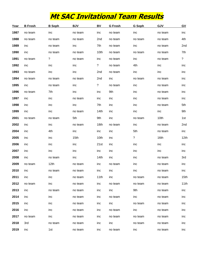## **Mt SAC Invitational Team Results**

| Year | <b>B</b> Frosh | <b>B</b> Soph    | <b>BJV</b>       | BV               | <b>G</b> Frosh | G Soph  | GJV     | $\underline{GV}$ |
|------|----------------|------------------|------------------|------------------|----------------|---------|---------|------------------|
| 1987 | no team        | inc              | no team          | inc              | no team        | inc     | no team | inc              |
| 1988 | no team        | no team          | no team          | 2nd              | no team        | no team | no team | 4th              |
| 1989 | inc            | no team          | inc              | 7th              | no team        | inc     | no team | 2nd              |
| 1990 | inc            | no team          | no team          | 10th             | no team        | no team | no team | 7th              |
| 1991 | no team        | ?                | no team          | inc              | no team        | inc     | no team | ?                |
| 1992 | inc            | inc              | inc              | ?                | no team        | 4th     | inc     | inc              |
| 1993 | no team        | inc              | inc              | 2nd              | no team        | inc     | inc     | inc              |
| 1994 | no team        | no team          | no team          | 2nd              | inc            | no team | no team | inc              |
| 1995 | inc            | no team          | inc              | ?                | no team        | inc     | no team | inc              |
| 1996 | no team        | 7th              | inc              | inc              | 9th            | inc     | no team | inc              |
| 1997 | inc            | inc              | no team          | inc              | inc            | inc     | no team | inc              |
| 1998 | inc            | inc              | inc              | 7th              | inc            | inc     | no team | 5th              |
| 1999 | inc            | inc              | no team          | 14 <sub>th</sub> | inc            | inc     | inc     | 9th              |
| 2001 | no team        | no team          | 5th              | 9th              | inc            | no team | 10th    | 1st              |
| 2002 | inc            | inc              | no team          | 18th             | no team        | inc     | no team | 2nd              |
| 2004 | inc            | 4th              | inc              | inc              | inc            | 5th     | no team | inc              |
| 2005 | inc            | inc              | 15 <sub>th</sub> | 10th             | inc            | ?       | 16th    | 12th             |
| 2006 | inc            | inc              | inc              | 21st             | inc            | inc     | inc     | inc              |
| 2007 | inc            | inc              | inc              | inc              | inc            | inc     | inc     | inc              |
| 2008 | inc            | no team          | inc              | 14 <sub>th</sub> | inc            | inc     | no team | 3rd              |
| 2009 | no team        | 12 <sub>th</sub> | no team          | inc              | no team        | inc     | no team | inc              |
| 2010 | inc            | no team          | no team          | inc              | inc            | inc     | no team | inc              |
| 2011 | inc            | inc              | no team          | 11th             | inc            | no team | no team | 15th             |
| 2012 | no team        | inc              | no team          | inc              | no team        | no team | no team | 11th             |
| 2013 | inc            | no team          | no team          | inc              | inc            | 9th     | no team | inc              |
| 2014 | inc            | inc              | no team          | inc              | no team        | inc     | no team | inc              |
| 2015 | inc            | inc              | no team          | inc              | inc            | no team | no team | inc              |
| 2016 | inc            | inc              | no team          | inc              | no team        | inc     | no team | inc              |
| 2017 | no team        | inc              | no team          | inc              | no team        | no team | no team | inc              |
| 2018 | 3rd            | no team          | no team          | inc              | inc            | no team | no team | inc              |
| 2019 | inc            | 1st              | no team          | inc              | no team        | inc     | no team | inc              |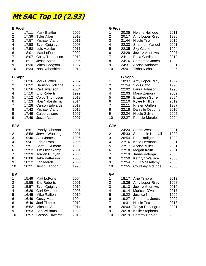### **Mt SAC Top 10 (2.93)**

#### **B Frosh G Frosh**

| $\boldsymbol{2}$<br>$\boldsymbol{2}$<br>17:39<br><b>Tyler Allan</b><br>2019<br>20:17<br>Amy Loper-Riley<br>$\ensuremath{\mathsf{3}}$<br>$\mathsf 3$<br>17:57<br>Michael Viano<br>2011<br>21:44<br>Nicole Tria<br>$\overline{\mathbf{4}}$<br>4<br>17:58<br>22:33<br>Evan Quigley<br>2008<br><b>Shannon Manuel</b><br>5<br>$\overline{\mathbf{4}}$<br>17:58<br>22:35<br>Luis Haefke<br>2011<br><b>Sky Gliatto</b><br>$\,6$<br>$\,6\,$<br>18:01<br>23:29<br>Matt LoForte<br>2002<br><b>Jewelz Andrews</b><br>$\overline{7}$<br>$\overline{7}$<br>24:11<br>18:07<br>Colby Thompson<br>2018<br>Erica Cardinale<br>8<br>8<br>18:11<br>Jesse Aston<br>2006<br>24:16<br>Samantha Jones<br>$\boldsymbol{9}$<br>9<br>18:30<br>Mitch Hodgson<br>1997<br>24:31<br>Alyssa Andrews<br>10<br>25:01<br>10<br>18:34<br>Noa Nabeshima<br>2013<br><b>Tisha Nichols</b><br><b>B</b> Soph<br>G Soph<br>$\mathbf 1$<br>16:36<br><b>Mark Blattler</b><br>2007<br>$\mathbf 1$<br>18:37<br>Amy Loper-Riley<br>$\overline{\mathbf{c}}$<br>$\overline{c}$<br>16:52<br><b>Harrison Hollidge</b><br>2009<br>21:54<br><b>Sky Gliatto</b><br>$\ensuremath{\mathsf{3}}$<br>$\mathsf 3$<br>16:56<br><b>Carl Swanson</b><br>2004<br>22:02<br>Laura Johnson<br>$\overline{\mathbf{4}}$<br>4<br>17:10<br><b>Eric Roberts</b><br>1999<br>22:03<br>Maria Zamora<br>5<br>5<br>17:12<br>Colby Thompson<br>2019<br>22:09<br><b>Elizabeth Gorrell</b><br>$\,6$<br>$\,6\,$<br>17:23<br>Noa Nabeshima<br>2014<br>22:10<br><b>Kylee Phillips</b><br>$\overline{\mathbf{7}}$<br>$\overline{7}$<br>17:28<br>22:11<br><b>Carson Edwards</b><br>2017<br>Kirsten Griffen<br>8<br>8<br>22:18<br>17:42<br>Michael Viano<br>2012<br>Danielle Osborne<br>$\boldsymbol{9}$<br>9<br>22:24<br>17:49<br>Caleb Leisure<br>1997<br>Nicole Sylvia | 1996<br>2015<br>2001<br>1994<br>2007<br>2013<br>1999<br>2001<br>2005<br>1997<br>1995<br>1996 |
|--------------------------------------------------------------------------------------------------------------------------------------------------------------------------------------------------------------------------------------------------------------------------------------------------------------------------------------------------------------------------------------------------------------------------------------------------------------------------------------------------------------------------------------------------------------------------------------------------------------------------------------------------------------------------------------------------------------------------------------------------------------------------------------------------------------------------------------------------------------------------------------------------------------------------------------------------------------------------------------------------------------------------------------------------------------------------------------------------------------------------------------------------------------------------------------------------------------------------------------------------------------------------------------------------------------------------------------------------------------------------------------------------------------------------------------------------------------------------------------------------------------------------------------------------------------------------------------------------------------------------------------------------------------------------------------------------------------------------------------------------------------------------------------|----------------------------------------------------------------------------------------------|
|                                                                                                                                                                                                                                                                                                                                                                                                                                                                                                                                                                                                                                                                                                                                                                                                                                                                                                                                                                                                                                                                                                                                                                                                                                                                                                                                                                                                                                                                                                                                                                                                                                                                                                                                                                                      |                                                                                              |
|                                                                                                                                                                                                                                                                                                                                                                                                                                                                                                                                                                                                                                                                                                                                                                                                                                                                                                                                                                                                                                                                                                                                                                                                                                                                                                                                                                                                                                                                                                                                                                                                                                                                                                                                                                                      |                                                                                              |
|                                                                                                                                                                                                                                                                                                                                                                                                                                                                                                                                                                                                                                                                                                                                                                                                                                                                                                                                                                                                                                                                                                                                                                                                                                                                                                                                                                                                                                                                                                                                                                                                                                                                                                                                                                                      |                                                                                              |
|                                                                                                                                                                                                                                                                                                                                                                                                                                                                                                                                                                                                                                                                                                                                                                                                                                                                                                                                                                                                                                                                                                                                                                                                                                                                                                                                                                                                                                                                                                                                                                                                                                                                                                                                                                                      |                                                                                              |
|                                                                                                                                                                                                                                                                                                                                                                                                                                                                                                                                                                                                                                                                                                                                                                                                                                                                                                                                                                                                                                                                                                                                                                                                                                                                                                                                                                                                                                                                                                                                                                                                                                                                                                                                                                                      |                                                                                              |
|                                                                                                                                                                                                                                                                                                                                                                                                                                                                                                                                                                                                                                                                                                                                                                                                                                                                                                                                                                                                                                                                                                                                                                                                                                                                                                                                                                                                                                                                                                                                                                                                                                                                                                                                                                                      |                                                                                              |
|                                                                                                                                                                                                                                                                                                                                                                                                                                                                                                                                                                                                                                                                                                                                                                                                                                                                                                                                                                                                                                                                                                                                                                                                                                                                                                                                                                                                                                                                                                                                                                                                                                                                                                                                                                                      |                                                                                              |
|                                                                                                                                                                                                                                                                                                                                                                                                                                                                                                                                                                                                                                                                                                                                                                                                                                                                                                                                                                                                                                                                                                                                                                                                                                                                                                                                                                                                                                                                                                                                                                                                                                                                                                                                                                                      |                                                                                              |
|                                                                                                                                                                                                                                                                                                                                                                                                                                                                                                                                                                                                                                                                                                                                                                                                                                                                                                                                                                                                                                                                                                                                                                                                                                                                                                                                                                                                                                                                                                                                                                                                                                                                                                                                                                                      |                                                                                              |
|                                                                                                                                                                                                                                                                                                                                                                                                                                                                                                                                                                                                                                                                                                                                                                                                                                                                                                                                                                                                                                                                                                                                                                                                                                                                                                                                                                                                                                                                                                                                                                                                                                                                                                                                                                                      |                                                                                              |
|                                                                                                                                                                                                                                                                                                                                                                                                                                                                                                                                                                                                                                                                                                                                                                                                                                                                                                                                                                                                                                                                                                                                                                                                                                                                                                                                                                                                                                                                                                                                                                                                                                                                                                                                                                                      |                                                                                              |
|                                                                                                                                                                                                                                                                                                                                                                                                                                                                                                                                                                                                                                                                                                                                                                                                                                                                                                                                                                                                                                                                                                                                                                                                                                                                                                                                                                                                                                                                                                                                                                                                                                                                                                                                                                                      |                                                                                              |
|                                                                                                                                                                                                                                                                                                                                                                                                                                                                                                                                                                                                                                                                                                                                                                                                                                                                                                                                                                                                                                                                                                                                                                                                                                                                                                                                                                                                                                                                                                                                                                                                                                                                                                                                                                                      |                                                                                              |
|                                                                                                                                                                                                                                                                                                                                                                                                                                                                                                                                                                                                                                                                                                                                                                                                                                                                                                                                                                                                                                                                                                                                                                                                                                                                                                                                                                                                                                                                                                                                                                                                                                                                                                                                                                                      | 2002                                                                                         |
|                                                                                                                                                                                                                                                                                                                                                                                                                                                                                                                                                                                                                                                                                                                                                                                                                                                                                                                                                                                                                                                                                                                                                                                                                                                                                                                                                                                                                                                                                                                                                                                                                                                                                                                                                                                      | 2004                                                                                         |
|                                                                                                                                                                                                                                                                                                                                                                                                                                                                                                                                                                                                                                                                                                                                                                                                                                                                                                                                                                                                                                                                                                                                                                                                                                                                                                                                                                                                                                                                                                                                                                                                                                                                                                                                                                                      | 2019                                                                                         |
|                                                                                                                                                                                                                                                                                                                                                                                                                                                                                                                                                                                                                                                                                                                                                                                                                                                                                                                                                                                                                                                                                                                                                                                                                                                                                                                                                                                                                                                                                                                                                                                                                                                                                                                                                                                      | 1987                                                                                         |
|                                                                                                                                                                                                                                                                                                                                                                                                                                                                                                                                                                                                                                                                                                                                                                                                                                                                                                                                                                                                                                                                                                                                                                                                                                                                                                                                                                                                                                                                                                                                                                                                                                                                                                                                                                                      | 2010                                                                                         |
|                                                                                                                                                                                                                                                                                                                                                                                                                                                                                                                                                                                                                                                                                                                                                                                                                                                                                                                                                                                                                                                                                                                                                                                                                                                                                                                                                                                                                                                                                                                                                                                                                                                                                                                                                                                      | 2005                                                                                         |
| $\boldsymbol{9}$<br>10<br>22:27<br>17:49<br>2007<br>Patricia Morales<br><b>Jesse Aston</b>                                                                                                                                                                                                                                                                                                                                                                                                                                                                                                                                                                                                                                                                                                                                                                                                                                                                                                                                                                                                                                                                                                                                                                                                                                                                                                                                                                                                                                                                                                                                                                                                                                                                                           | 2004                                                                                         |
| <b>BJV</b><br><b>GJV</b>                                                                                                                                                                                                                                                                                                                                                                                                                                                                                                                                                                                                                                                                                                                                                                                                                                                                                                                                                                                                                                                                                                                                                                                                                                                                                                                                                                                                                                                                                                                                                                                                                                                                                                                                                             |                                                                                              |
| $\mathbf{1}$<br>18:51<br>2001<br>24:24<br>Sarah West<br>Randy Johnson<br>1                                                                                                                                                                                                                                                                                                                                                                                                                                                                                                                                                                                                                                                                                                                                                                                                                                                                                                                                                                                                                                                                                                                                                                                                                                                                                                                                                                                                                                                                                                                                                                                                                                                                                                           | 2001                                                                                         |
| $\boldsymbol{2}$<br>$\overline{\mathbf{c}}$<br>2001<br>Jerwin Woolridge<br>25:33<br>18:58<br>Stephanie Kendall                                                                                                                                                                                                                                                                                                                                                                                                                                                                                                                                                                                                                                                                                                                                                                                                                                                                                                                                                                                                                                                                                                                                                                                                                                                                                                                                                                                                                                                                                                                                                                                                                                                                       | 1999                                                                                         |
| 3<br>$\mathsf 3$<br>1996<br>26:54<br>19:40<br>Alex James<br><b>Beth Rudiger</b>                                                                                                                                                                                                                                                                                                                                                                                                                                                                                                                                                                                                                                                                                                                                                                                                                                                                                                                                                                                                                                                                                                                                                                                                                                                                                                                                                                                                                                                                                                                                                                                                                                                                                                      | 1992                                                                                         |
| 4<br>4<br>2005<br>27:16<br>Katie Hermans<br>19:41<br><b>Eddie Roth</b>                                                                                                                                                                                                                                                                                                                                                                                                                                                                                                                                                                                                                                                                                                                                                                                                                                                                                                                                                                                                                                                                                                                                                                                                                                                                                                                                                                                                                                                                                                                                                                                                                                                                                                               | 2001                                                                                         |
| 5<br>5<br>1996<br>27:17<br>19:51<br>Scott Fukumoto<br>Alyssa Miller                                                                                                                                                                                                                                                                                                                                                                                                                                                                                                                                                                                                                                                                                                                                                                                                                                                                                                                                                                                                                                                                                                                                                                                                                                                                                                                                                                                                                                                                                                                                                                                                                                                                                                                  | 2001                                                                                         |
| 6<br>$\,6$<br>Tim Oldenkamp<br>2001<br>27:18<br>Megan Keith<br>19:52                                                                                                                                                                                                                                                                                                                                                                                                                                                                                                                                                                                                                                                                                                                                                                                                                                                                                                                                                                                                                                                                                                                                                                                                                                                                                                                                                                                                                                                                                                                                                                                                                                                                                                                 | 2001                                                                                         |
| $\overline{7}$<br>$\overline{7}$<br>2005<br>27:19<br>19:59<br>Jordan Runyan<br>Janae Valerga                                                                                                                                                                                                                                                                                                                                                                                                                                                                                                                                                                                                                                                                                                                                                                                                                                                                                                                                                                                                                                                                                                                                                                                                                                                                                                                                                                                                                                                                                                                                                                                                                                                                                         | 2005                                                                                         |
| 8<br>8<br>27:50<br>20:08<br>Jake Patterson<br>2008<br>Kathryn Wallace                                                                                                                                                                                                                                                                                                                                                                                                                                                                                                                                                                                                                                                                                                                                                                                                                                                                                                                                                                                                                                                                                                                                                                                                                                                                                                                                                                                                                                                                                                                                                                                                                                                                                                                | 2005                                                                                         |
| 9<br>9<br>27:54<br>S. El Mossalamy<br>20:12<br>Zac March<br>2008                                                                                                                                                                                                                                                                                                                                                                                                                                                                                                                                                                                                                                                                                                                                                                                                                                                                                                                                                                                                                                                                                                                                                                                                                                                                                                                                                                                                                                                                                                                                                                                                                                                                                                                     | 2005                                                                                         |
| 10<br>10<br>27:55<br>20:21<br>Justin Landon<br>1996<br><b>Courtney McBride</b>                                                                                                                                                                                                                                                                                                                                                                                                                                                                                                                                                                                                                                                                                                                                                                                                                                                                                                                                                                                                                                                                                                                                                                                                                                                                                                                                                                                                                                                                                                                                                                                                                                                                                                       | 2005                                                                                         |
| GV<br><b>BV</b>                                                                                                                                                                                                                                                                                                                                                                                                                                                                                                                                                                                                                                                                                                                                                                                                                                                                                                                                                                                                                                                                                                                                                                                                                                                                                                                                                                                                                                                                                                                                                                                                                                                                                                                                                                      |                                                                                              |
| 1<br>Matt LoForte<br>2004<br>1<br><b>Allie Timbrell</b><br>15:49<br>18:17                                                                                                                                                                                                                                                                                                                                                                                                                                                                                                                                                                                                                                                                                                                                                                                                                                                                                                                                                                                                                                                                                                                                                                                                                                                                                                                                                                                                                                                                                                                                                                                                                                                                                                            | 2013                                                                                         |
| 2<br>15:55<br><b>Eric Roberts</b><br>2001<br>2<br>18:36<br>Amy Loper-Riley                                                                                                                                                                                                                                                                                                                                                                                                                                                                                                                                                                                                                                                                                                                                                                                                                                                                                                                                                                                                                                                                                                                                                                                                                                                                                                                                                                                                                                                                                                                                                                                                                                                                                                           | 1998                                                                                         |
| 3<br>3<br>2010<br>19:13<br>Jewelz Andrews<br>15:57<br>Evan Quigley                                                                                                                                                                                                                                                                                                                                                                                                                                                                                                                                                                                                                                                                                                                                                                                                                                                                                                                                                                                                                                                                                                                                                                                                                                                                                                                                                                                                                                                                                                                                                                                                                                                                                                                   | 2010                                                                                         |
| 16:29<br>Carl Swanson<br>2006<br>4<br>19:14<br>Marissa D'Atri<br>4                                                                                                                                                                                                                                                                                                                                                                                                                                                                                                                                                                                                                                                                                                                                                                                                                                                                                                                                                                                                                                                                                                                                                                                                                                                                                                                                                                                                                                                                                                                                                                                                                                                                                                                   | 2017                                                                                         |
| 5<br>16:45<br><b>Mike Railton</b><br>2010<br>19:22<br>Jessica Neu<br>5                                                                                                                                                                                                                                                                                                                                                                                                                                                                                                                                                                                                                                                                                                                                                                                                                                                                                                                                                                                                                                                                                                                                                                                                                                                                                                                                                                                                                                                                                                                                                                                                                                                                                                               | 1999                                                                                         |
| 6<br>16:49<br><b>Gusty Maat</b><br>1994<br>19:27<br>Samantha Jones<br>6                                                                                                                                                                                                                                                                                                                                                                                                                                                                                                                                                                                                                                                                                                                                                                                                                                                                                                                                                                                                                                                                                                                                                                                                                                                                                                                                                                                                                                                                                                                                                                                                                                                                                                              | 2002                                                                                         |
| $\overline{7}$<br>16:49<br>Joel Timbrell<br>2012<br>19:31<br>Nicole Tria<br>6                                                                                                                                                                                                                                                                                                                                                                                                                                                                                                                                                                                                                                                                                                                                                                                                                                                                                                                                                                                                                                                                                                                                                                                                                                                                                                                                                                                                                                                                                                                                                                                                                                                                                                        | 2018                                                                                         |
| 16:52<br>Michael Viano<br>2014<br>8<br>20:03<br>Tanya Rosengren<br>8                                                                                                                                                                                                                                                                                                                                                                                                                                                                                                                                                                                                                                                                                                                                                                                                                                                                                                                                                                                                                                                                                                                                                                                                                                                                                                                                                                                                                                                                                                                                                                                                                                                                                                                 | 2001                                                                                         |
| <b>Ben Williams</b><br>20:18<br>9<br>16:53<br>1989<br>9<br>Kellie Stephens                                                                                                                                                                                                                                                                                                                                                                                                                                                                                                                                                                                                                                                                                                                                                                                                                                                                                                                                                                                                                                                                                                                                                                                                                                                                                                                                                                                                                                                                                                                                                                                                                                                                                                           |                                                                                              |
| 2018<br>10<br>20:19<br>10<br>16:57<br><b>Carson Edwards</b><br>Sammy Parker                                                                                                                                                                                                                                                                                                                                                                                                                                                                                                                                                                                                                                                                                                                                                                                                                                                                                                                                                                                                                                                                                                                                                                                                                                                                                                                                                                                                                                                                                                                                                                                                                                                                                                          | 2002                                                                                         |

| 1<br>$\overline{\mathbf{c}}$<br>3<br>4<br>5<br>6<br>$\overline{7}$<br>8<br>9<br>10 | 20:05<br>20:17<br>21:44<br>22:33<br>22:35<br>23:29<br>24:11<br>24:16<br>24:31<br>25:01 | Helene Hollidge<br>Amy Loper-Riley<br>Nicole Tria<br><b>Shannon Manuel</b><br><b>Sky Gliatto</b><br>Jewelz Andrews<br>Erica Cardinale<br>Samantha Jones<br>Alyssa Andrews<br><b>Tisha Nichols</b>       | 2011<br>1996<br>2015<br>2001<br>1994<br>2007<br>2013<br>1999<br>2001<br>2005 |
|------------------------------------------------------------------------------------|----------------------------------------------------------------------------------------|---------------------------------------------------------------------------------------------------------------------------------------------------------------------------------------------------------|------------------------------------------------------------------------------|
|                                                                                    | G Soph                                                                                 |                                                                                                                                                                                                         |                                                                              |
| 1<br>$\overline{\mathbf{c}}$<br>3<br>4<br>5<br>6<br>7<br>8<br>9<br>10              | 18:37<br>21:54<br>22:02<br>22:03<br>22:09<br>22:10<br>22:11<br>22:18<br>22:24<br>22:27 | Amy Loper-Riley<br><b>Sky Gliatto</b><br>Laura Johnson<br>Maria Zamora<br><b>Elizabeth Gorrell</b><br><b>Kylee Phillips</b><br>Kirsten Griffen<br>Danielle Osborne<br>Nicole Sylvia<br>Patricia Morales | 1997<br>1995<br>1996<br>2002<br>2004<br>2019<br>1987<br>2010<br>2005<br>2004 |
| GJV                                                                                |                                                                                        |                                                                                                                                                                                                         |                                                                              |
| 1<br>$\overline{c}$<br>3<br>4<br>5<br>6<br>7<br>8<br>9<br>10                       | 24:24<br>25:33<br>26:54<br>27:16<br>27:17<br>27:18<br>27:19<br>27:50<br>27:54<br>27:55 | Sarah West<br>Stephanie Kendall<br><b>Beth Rudiger</b><br><b>Katie Hermans</b><br>Alyssa Miller<br>Megan Keith<br>Janae Valerga<br>Kathryn Wallace<br>S. El Mossalamy<br><b>Courtney McBride</b>        | 2001<br>1999<br>1992<br>2001<br>2001<br>2001<br>2005<br>2005<br>2005<br>2005 |
| G٧<br>1<br>2<br>3<br>4<br>5<br>6<br>7<br>8<br>9<br>10                              | 18:17<br>18:36<br>19:13<br>19:14<br>19:22<br>19:27<br>19:31<br>20:03<br>20:18<br>20:19 | <b>Allie Timbrell</b><br>Amy Loper-Riley<br><b>Jewelz Andrews</b><br>Marissa D'Atri<br>Jessica Neu<br>Samantha Jones<br>Nicole Tria<br>Tanya Rosengren<br>Kellie Stephens<br>Sammy Parker               | 2013<br>1998<br>2010<br>2017<br>1999<br>2002<br>2018<br>2001<br>2002<br>2008 |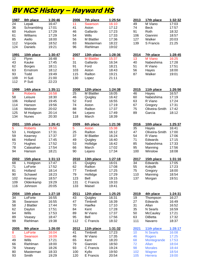### **BV NCS History – Hayward HS**

| 1987            | 8th place      | 1:26:46 | 2006 | 7th place         | 1:25:54 | 2013 | 17th place      | 1:32:32 |
|-----------------|----------------|---------|------|-------------------|---------|------|-----------------|---------|
| $\overline{24}$ | Lepak          | 16:47   | 11   | Swanson           | 16:10   | 49   | M Viano         | 17:03   |
| 36              | Schrambling    | 17:01   | 41   | Aston             | 17:12   | 74   | <b>Beck</b>     | 17:57   |
| 60              | Hudson         | 17:29   | 46   | Gallardo          | 17:23   | 91   | Roth            | 18:32   |
| 61              | Williams       | 17:29   | 54   | <b>Wills</b>      | 17:33   | 106  | Giannini        | 18:57   |
| 85              | Aiello         | 18:00   | 56   | M Blattler        | 17:36   | 127  | Walker          | 20:03   |
| 112             | Vojvoda        | 18:52   | 83   | Masterman         | 18:22   | 139  | S Francis       | 21:25   |
| 124             | Daniels        | 19:21   | 96   | Riehlman          | 19:02   |      |                 |         |
|                 |                |         |      |                   |         |      |                 |         |
| <u>1991</u>     | 10th place     | 1:30:47 | 2007 | 13th place        | 1:28:36 | 2014 | 7th place       | 1:28:45 |
| 12              | Flynn          | 16:48   | 6    | <b>M</b> Blattler | 15:37   | 13   | <b>M</b> Viano  | 16:25   |
| 43              | Kauke          | 17:45   | 31   | Gallardo          | 16:34   | 40   | Nabeshima       | 17:28   |
| 62              | <b>Borges</b>  | 18:11   | 91   | Ford              | 18:21   | 51   | R Viano         | 17:51   |
| 63              | Ernstrom       | 18:12   | 103  | Aston             | 18:43   | 56   | Hayes           | 18:00   |
| 93              | Todd           | 19:49   | 115  | Railton           | 19:21   | 87   | Walker          | 19:01   |
| 109             | H Suti         | 21:00   | 130  | Lopez             | 21:11   |      |                 |         |
| 112             | P Suti         | 22:23   |      |                   |         |      |                 |         |
| 1999            | 14th place     | 1:35:11 | 2008 | 12th place        | 1:24:38 | 2015 | 11th place      | 1:26:56 |
| 9               | <b>Roberts</b> | 16:58   | 25   | M Blattler        | 16:05   | 46   | Hayes           | 16:57   |
| 58              | Leisure        | 18:30   | 46   |                   | 16:42   | 60   | Nabeshima       | 17:19   |
|                 |                |         |      | Quigley           |         |      |                 |         |
| 106             | Holland        | 19:45   | 52   | Ford              | 16:55   | 63   | R Viano         | 17:24   |
| 114             | Hanson         | 19:56   | 74   | Aston             | 17:19   | 67   | Gregory         | 17:31   |
| 116             | Webster        | 20:02   | 88   | Railton           | 17:37   | 75   | Oliveira-Smith  | 17:42   |
| 125             | M Hodgson      | 20:14   | 94   | Lejano            | 17:49   | 89   | Garcia          | 18:12   |
| 134             | <b>Nunes</b>   | 20:30   | 118  | March             | 18:39   |      |                 |         |
| 2001            | 10th place     | 1:26:41 | 2009 | 6th place         | 1:21:36 | 2016 | 10th place      | 1:25:37 |
| 5               | <b>Roberts</b> | 15:56   | 5    | <b>Aston</b>      | 15:38   | 35   | Hayes           | 16:41   |
| 53              | L Hodgson      | 17:31   | 25   | Railton           | 16:12   | 47   | Oliveira-Smith  | 17:00   |
| 59              | Kearney        | 17:37   | 37   | M Blattler        | 16:24   | 54   | R Viano         | 17:06   |
| 66              | Holland        | 17:45   | 49   | Quigley           | 16:40   | 71   | Edwards         | 17:15   |
| 73              | Hughes         | 17:52   | 53   | Hollidge          | 16:42   | 85   | Nabeshima       | 17:33   |
| 78              | Calasahan      | 17:54   | 66   | March             | 17:02   | 95   | Manning         | 17:56   |
| 94              | Hanson         | 18:21   | 90   | Lejano            | 17:34   | 100  | Winslow         | 18:08   |
|                 |                |         |      |                   |         |      |                 |         |
| 2002            | 15th place     | 1:31:13 | 2010 | 13th place        | 1:27:18 | 2017 | 15th place      | 1:31:16 |
| 68              | L Hodgson      | 17:47   | 15   | Quigley           | 16:01   | 34   | Edwards         | 17:05   |
| 71              | LoForte        | 17:52   | 62   | Railton           | 17:08   | 55   | Kobylik         | 17:23   |
| 81              | Holland        | 18:14   | 77   | Timbrell          | 17:25   | 75   | Gregory         | 18:00   |
| 90              | Schawel        | 18:23   | 79   | Hollidge          | 17:29   | 110  | Manning         | 18:54   |
| 102             | Kearney        | 18:57   | 123  | Bell              | 19:15   | 137  | Morgan          | 19:51   |
| 109             | Oldenkamp      | 19:29   | 131  | C Francis         | 19:33   |      |                 |         |
| 116             | Johnson        | 20:05   | 133  | Maisel            | 19:41   |      |                 |         |
| 2004            | 10th place     | 1:27:18 | 2011 | 12th place        | 1:25:25 | 2019 | 4th place       | 1:24:31 |
| 34              | LoForte        | 16:55   | 43   | Quigley           | 16:31   | 19   | Thompson        | 16:27   |
| 36              | Swanson        | 16:55   | 47   | Timbrell          | 16:39   | 27   | Edwards         | 16:49   |
| 58              | J Blattler     | 17:44   | 70   | Haefke            | 17:10   | 31   | Allan           | 16:52   |
| 62              | Dayton         | 17:51   | 84   | Kent              | 17:28   | 35   | N Searls        | 16:59   |
| 64              | Wills          | 17:53   | 89   | M Viano           | 17:37   | 50   | <b>McCauley</b> | 17:21   |
| 89              | Veasey         | 18:47   | 95   | Bell              | 17:56   | 63   | <b>DiBetta</b>  | 17:32   |
|                 |                |         |      |                   |         |      |                 |         |
| 99              | Riehlman       | 19:38   | 112  | C Francis         | 18:32   | 111  | Navarro         | 18:37   |
| 2005            | 9th place      | 1:26:00 | 2012 | 11th place        | 1:31:32 | 2021 | 11th place      | 1:28:17 |
| 8               | LoForte        | 16:04   | 41   | Timbrell          | 17:23   | 10   | <b>N</b> Searls | 16:08   |
| 11              | <b>Swanson</b> | 16:09   | 46   | M Viano           | 17:35   | 46   | <b>Rogers</b>   | 17:25   |
| 49              | Wills          | 17:21   | 65   | Kent              | 18:20   | 68   | Montegrande     | 17:53   |
| 66              | Riehlman       | 18:00   | 79   | Giannini          | 18:50   | 72   | Allan           | 18:04   |
| 78              | Veasey         | 18:26   | 93   | C Francis         | 19:24   | 98   | <b>Morales</b>  | 18:44   |
| 80              | Masterman      | 18:33   | 100  | Kyllo             | 19:50   | 102  | Wagner          | 18:54   |
| 93              | Smith          | 19:29   | 120  | E Francis         | 20:54   | 105  | Herrera         | 19:00   |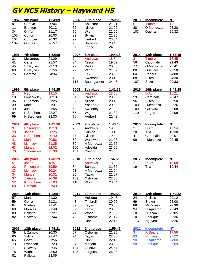## **GV NCS History – Hayward HS**

| 1987            | 9th place         | 1:54:09 | 2006           | 13th place     | 1:50:08 | 2013           | Incomplete        | <b>NT</b> |
|-----------------|-------------------|---------|----------------|----------------|---------|----------------|-------------------|-----------|
| $\overline{9}$  | Corbyn            | 20:04   | 49             | Salazaar       | 21:01   | 6              | <b>Timbrell</b>   | 18:11     |
| 11              | <b>Brunton</b>    | 20:13   | 52             | Nilson         | 21:02   | 88             | O Mendoza         | 23:20     |
| 34              | Griffen           | 21:17   | 76             | Wight          | 22:06   | 103            | Guerra            | 25:32     |
|                 |                   | 26:03   | 82             |                | 22:25   |                |                   |           |
| 105             | Cotton            |         |                | Sylvia         |         |                |                   |           |
| 107             | Cordova           | 26:32   | 92             | Herbert        | 23:34   |                |                   |           |
| 109             | Grimes            | 26:57   | 95             | Swanson        | 23:48   |                |                   |           |
|                 |                   |         | 97             | Leary          | 24:05   |                |                   |           |
| <u>1991</u>     | 7th place         | 1:53:09 | 2007           | 8th place      | 1:44:18 | 2014           | 12th place        | 1:52:15   |
| $\overline{31}$ | McNerney          | 21:29   | $\overline{7}$ | <b>Andrews</b> | 18:54   | 8              | <b>Timbrell</b>   | 18:45     |
| 41              | Carter            | 21:57   | 24             | Nilson         | 19:52   | 56             | Cardinale         | 21:43     |
|                 |                   |         |                |                |         |                |                   |           |
| 45              | S Haynes          | 22:13   | 27             | Parker         | 20:00   | 77             | O Mendoza         | 23:41     |
| 60              | <b>B</b> Haynes   | 22:55   | 77             | Wight          | 21:57   | 80             | Guevara           | 23:58     |
| 75              | Gemma             | 24:34   | 98             | Eck            | 23:35   | 84             | Rogers            | 24:08     |
|                 |                   |         | 102            | Swanson        | 23:49   | 88             | <b>Stites</b>     | 24:30     |
|                 |                   |         | 113            | Baumgartner    | 24:46   | 107            | Soza              | 29:33     |
| 1999            | 5th place         | 1:44:25 | 2008           | 8th place      | 1:41:36 | 2015           | 16th place        | 1:49:25   |
| $\overline{2}$  | <b>Neu</b>        | 19:15   | 8              | <b>Andrews</b> | 18:50   | 7              | D'Atri            | 18:21     |
| 10              | Loper-Riley       | 20:13   | 34             | Parker         | 20:08   | 59             | Cardinale         | 20:47     |
|                 |                   |         |                |                |         |                |                   |           |
| 36              | R Zamolo          | 21:25   | 37             | Nilson         | 20:12   | 96             | <b>Stites</b>     | 22:50     |
| 39              | <b>Mork</b>       | 21:37   | 52             | Yoeono         | 20:58   | 103            | I Mendoza         | 23:26     |
| 49              | Jones             | 21:55   | 63             | Sweeney        | 21:28   | 109            | Guevara           | 23:58     |
| 64              | K Stephens        | 22:27   | 65             | Wight          | 21:32   | 110            | Rogers            | 24:09     |
| 99              | H Stephens        | 23:30   | 70             | Herbert        | 21:43   |                |                   |           |
| 2001            | 4th place         | 1:42:36 | 2009           | 9th place      | 1:43:13 | 2016           | Incomplete        | <b>NT</b> |
| $\overline{9}$  | Rosengren         | 19:10   | 28             | Andrews        | 19:38   | $\overline{2}$ | D'Atri            | 17:54     |
|                 |                   |         |                |                |         |                |                   |           |
| 28              | <b>Jones</b>      | 20:25   | 35             | Suniga         | 19:48   | 28             | Tria              | 19:30     |
| 33              | <b>K Stephens</b> | 20:40   | 37             | Nilson         | 19:49   | 41             | Cardinale         | 20:07     |
| 41              | <b>Mork</b>       | 20:56   | 60             | Wadsworth      | 21:03   | 99             | I Mendoza         | 22:45     |
| 48              | Lightsey          | 21:25   | 89             | A Mendoza      | 22:55   |                |                   |           |
| 63              | <b>Manuel</b>     | 22:02   | 100            | Adesida        | 23:59   |                |                   |           |
| 78              | Shoemaker         | 22:39   | 101            | Yoeono         | 24:00   |                |                   |           |
| 2002            | 4th place         | 1:40:29 | 2010           | 15th place     | 1:47:20 | 2017           | Incomplete        | ΝT        |
| 5               | Jones             | 18:57   | 5              | <b>Andrews</b> | 18:39   | $\overline{2}$ | D'Atri            | 18:08     |
| 23              | Rosengren         | 19:59   | 84             | Suniga         | 21:52   | 19             | Tria              | 19:44     |
|                 |                   |         |                |                |         |                |                   |           |
| 33              | Lightsey          | 20:24   | 93             | A Mendoza      | 22:04   |                |                   |           |
| 34              | <b>Manuel</b>     | 20:31   | 95             | Taylor         | 22:07   |                |                   |           |
| 37              | Zamora            | 20:38   | 102            | Osborne        | 22:38   |                |                   |           |
| 52              | <b>K Stephens</b> | 21:03   | 118            | Wood           | 23:34   |                |                   |           |
| 68              | <b>Borman</b>     | 21:43   |                |                |         |                |                   |           |
| 2004            | 13th place        | 1:48:57 | 2011           | 12th place     | 1:42:02 | 2019           | 12th place        | 1:50:32   |
| 57              | Manuel            | 21:30   | 40             | Hollidge       | 19:45   | 24             | Phillips          | 20:12     |
| 59              | Gorrell           | 21:31   | 48             | Timbrell       | 20:05   | 69             | <b>Brown</b>      | 22:00     |
| 64              | Winters           | 21:41   | 59             | Taylor         | 20:30   | 88             | <b>McKinsey</b>   | 22:30     |
|                 |                   |         |                |                |         |                |                   |           |
| 68              | <b>Morales</b>    | 21:48   | 62             | Ferrel         | 20:33   | 94             | Hisquierdo        | 22:43     |
| 80              | Pallotta          | 22:27   | 74             | Wood           | 21:09   | 101            | Duncan            | 23:05     |
| 82              | Snavely           | 22:44   | 76             | Osborne        | 21:17   | 107            | Padrique          | 23:36     |
|                 |                   |         | 98             | Dinh           | 22:16   | 116            | Nguyen            | 24:26     |
| 2005            | 12th place        | 1:49:21 | 2012           | 14th place     | 1:55:49 | 2021           | <b>Incomplete</b> | <b>NT</b> |
| 39              | L Zamolo          | 20:30   | 57             | Osborne        | 21:35   | 3              | <b>R</b> Searls   | 17:59     |
| 60              | Sylvia            | 21:47   | 74             | Taylor         | 22:36   | 83             | <b>Nguyen</b>     | 23:22     |
| 65              | Gorrell           | 21:56   | 80             | Dinh           | 22:43   | 90             | Hisquierdo        | 24:00     |
|                 |                   |         |                |                |         |                |                   |           |
| 73              | Swanson           | 22:23   | 94             | Marietti       | 23:58   | 98             | <b>Padrique</b>   | 25:09     |
| 77              | Snavely           | 22:45   | 104            | Guerra         | 24:57   |                |                   |           |
| 78              | Wight             | 22:50   | 108            | Jorgensen      | 26:08   |                |                   |           |
| 81              | Pallotta          | 23:05   |                |                |         |                |                   |           |

| 2006          | 13th place        | 1:50:08        | 2013        | <b>Incomplete</b> | ΝT             |
|---------------|-------------------|----------------|-------------|-------------------|----------------|
| 49            | Salazaar          | 21:01          | 6           | <b>Timbrell</b>   | 18:11          |
| 52            | Nilson            | 21:02          | 88          | O Mendoza         | 23:20          |
| 76            | Wight             | 22:06          | 103         | Guerra            | 25:32          |
| 82            | Sylvia            | 22:25          |             |                   |                |
| 92            | Herbert           | 23:34          |             |                   |                |
| 95            | Swanson           | 23:48          |             |                   |                |
| 97            | Leary             | 24:05          |             |                   |                |
| <u> 2007 </u> | 8th place         | <u>1:44:18</u> | 2014        | 12th place        | 1:52:          |
| 7             | <b>Andrews</b>    | 18:54          | 8           | <b>Timbrell</b>   | 18:45          |
| 24            | Nilson            | 19:52          | 56          | Cardinale         | 21:43          |
| 27            | Parker            | 20:00          | 77          | O Mendoza         | 23:41          |
| 77            | Wight             | 21:57          | 80          | Guevara           | 23:58          |
| 98            | Eck               | 23:35          | 84          | Rogers            | 24:08          |
| 102           | Swanson           | 23:49          | 88          | <b>Stites</b>     | 24:30          |
| 113           | Baumgartner       | 24:46          | 107         | Soza              | 29:33          |
| 2008          | 8th place         | 1:41:36        | 2015        | 16th place        | <u> 1:49:2</u> |
| 8             | <b>Andrews</b>    | 18:50          | 7           | D'Atri            | 18:21          |
| 34            | Parker            | 20:08          | 59          | Cardinale         | 20:47          |
| 37            | Nilson            | 20:12          | 96          | <b>Stites</b>     | 22:50          |
| 52            | Yoeono            | 20:58          | 103         | I Mendoza         | 23:26          |
| 63            | Sweeney           | 21:28          | 109         | Guevara           | 23:58          |
| 65            | Wight             | 21:32          | 110         | Rogers            | 24:09          |
| 70            | Herbert           | 21:43          |             |                   |                |
| <u> 2009</u>  | 9th place         | <u>1:43:13</u> | 2016        | <b>Incomplete</b> | ΝT             |
| 28            | Andrews           | 19:38          | 2           | D'Atri            | 17:54          |
| 35            | Suniga            | 19:48          | 28          | Tria              | 19:30          |
| 37            | Nilson            | 19:49          | 41          | Cardinale         | 20:07          |
| 60            | Wadsworth         | 21:03          | 99          | I Mendoza         | 22:45          |
| 89            | A Mendoza         | 22:55          |             |                   |                |
| 100           | Adesida           | 23:59          |             |                   |                |
| 101           | Yoeono            | 24:00          |             |                   |                |
| <u> 2010</u>  | 15th place        | <u>1:47:20</u> | 2017        | <b>Incomplete</b> | ΝT             |
| 5             | Andrews           | 18:39          | 2           | D'Atri            | 18:08          |
| 84            | Suniga            | 21:52          | 19          | Tria              | 19:44          |
| 93            | A Mendoza         | 22:04          |             |                   |                |
| 95            | Taylor            | 22:07          |             |                   |                |
| 102           | Osborne           | 22:38          |             |                   |                |
| 118           | Wood              | 23:34          |             |                   |                |
|               |                   |                |             |                   |                |
| <u> 2011</u>  | 12th place        | 1:42:02        | 2019        | 12th place        | 1:50:          |
| 40            | Hollidge          | 19:45          | 24          | <b>Phillips</b>   | 20:12          |
| 48            | Timbrell          | 20:05          | 69          | <b>Brown</b>      | 22:00          |
| 59            | Taylor            | 20:30          | 88          | McKinsey          | 22:30          |
| 62            | Ferrel            | 20:33          | 94          | Hisquierdo        | 22:43          |
| 74            | Wood              | 21:09          | 101         | Duncan            | 23:05          |
| 76            | Osborne           | 21:17          | 107         | Padrique          | 23:36          |
| 98            | Dinh              | 22:16          | 116         | Nguyen            | 24:26          |
| 2012          | <u>14th place</u> | <u>1:55:49</u> | <u>2021</u> | <b>Incomplete</b> | <b>NT</b>      |
| 57            | Osborne           | 21:35          | 3           | <b>R</b> Searls   | 17:59          |
| 74            | Taylor            | 22:36          | 83          | <b>Nguyen</b>     | 23:22          |
| 80            | Dinh              | 22:43          | 90          | Hisquierdo        | 24:00          |
| 94            | Marietti          | 23:58          | 98          | <b>Padrique</b>   | 25:09          |
| 104           | Guerra            | 24:57          |             |                   |                |
| 108           | Jorgensen         | 26:08          |             |                   |                |

| 2013 | Incomplete | NT    |
|------|------------|-------|
| 6    | Timbrell   | 18:11 |
| 88   | O Mendoza  | 23:20 |
| 103  | Guerra     | 25:32 |

| 2014 | 12th place      | 1:52:15 |
|------|-----------------|---------|
| 8    | <b>Timbrell</b> | 18:45   |
| 56   | Cardinale       | 21:43   |
| 77   | O Mendoza       | 23:41   |
| 80   | Guevara         | 23:58   |
| 84   | Rogers          | 24:08   |
| 88   | <b>Stites</b>   | 24:30   |
| 107  | Soza            | 29:33   |
|      |                 |         |

| 2015 | 16th place    | 1:49:25 |
|------|---------------|---------|
| 7    | D'Atri        | 18:21   |
| 59   | Cardinale     | 20:47   |
| 96   | <b>Stites</b> | 22:50   |
| 103  | I Mendoza     | 23:26   |
| 109  | Guevara       | 23:58   |
| 110  | Rogers        | 24:09   |
|      |               |         |

| 2016 | Incomplete | NT    |
|------|------------|-------|
| 2    | D'Atri     | 17:54 |
| 28   | Tria       | 19:30 |
| 41   | Cardinale  | 20:07 |
| 99   | I Mendoza  | 22:45 |

| 2017 | Incomplete | NT    |
|------|------------|-------|
| 2    | D'Atri     | 18:08 |
| 19   | Tria       | 19:44 |

| 2019 | 12th place        | 1:50:32 |
|------|-------------------|---------|
| 24   | Phillips          | 20:12   |
| 69   | Brown             | 22:00   |
| 88   | McKinsey          | 22:30   |
| 94   | Hisquierdo        | 22:43   |
| 101  | Duncan            | 23:05   |
| 107  | Padrique          | 23:36   |
| 116  | Nguyen            | 24:26   |
| 2021 | <b>Incomplete</b> | NΤ      |
| 3    | R Searls          | 17:59   |
| 83   | <b>Nguyen</b>     | 23:22   |
| 90   | <b>Hisquierdo</b> | 24:00   |
| 98   | Padrique          | 25:09   |
|      |                   |         |
|      |                   |         |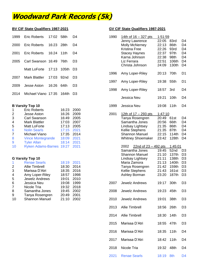### **Woodward Park Records (5k)**

| 1999 | Eric Roberts        | 17:02 | .58th | D4             | 1990 | 14th of $16 - 327$ pts       | 1:51:59 |
|------|---------------------|-------|-------|----------------|------|------------------------------|---------|
|      |                     |       |       |                |      | Jenny Lawrence               | 22:05   |
| 2000 | Eric Roberts        | 16:23 | 28th  | D4             |      | <b>Molly McNerney</b>        | 22:13   |
|      |                     |       |       |                |      | <b>Kristina Free</b>         | 22:26   |
| 2001 | Eric Roberts        | 16:24 | 11th  | D4             |      | <b>Stacey Haynes</b>         | 22:37   |
|      |                     |       |       |                |      | Karna Johnson                | 22:38   |
| 2005 | Carl Swanson 16:49  |       | 76th  | D3             |      | Liz Ferrara                  | 22:51   |
|      |                     |       |       |                |      | Christa Johnson              | 24:09   |
|      | Matt LoForte        | 17:13 | 105th | D <sub>3</sub> |      |                              |         |
|      |                     |       |       |                | 1996 | Amy Loper-Riley              | 20:13   |
| 2007 | Mark Blattler       | 17:03 | 92nd  | D <sub>3</sub> |      |                              |         |
|      |                     |       |       |                | 1997 | Amy Loper-Riley              | 19:38   |
| 2009 | Jesse Aston         | 16:26 | 64th  | D <sub>3</sub> |      |                              |         |
| 2014 | Michael Viano 17:35 |       | 164th | D <sub>3</sub> | 1998 | Amy Loper-Riley              | 18:57   |
|      |                     |       |       |                |      | المتحالية المستوات والمستحدث | 10.O1   |

#### **B Varsity Top 10**

| $\overline{1}$  | <b>Eric Roberts</b>           | 16:23 2000 |      |      |                                |         |
|-----------------|-------------------------------|------------|------|------|--------------------------------|---------|
| $\overline{2}$  | Jesse Aston                   | 16:26 2009 |      | 2001 | 12th of $17 - 293$ pts         | 1:47:10 |
| 3               | Carl Swanson                  | 16:49      | 2005 |      | Tanya Rosengren                | 20:49   |
| $\overline{4}$  | <b>Mark Blattler</b>          | 17:03 2007 |      |      | Samantha Jones                 | 20:56   |
| $5\overline{)}$ | Matt LoForte                  | 17:13 2005 |      |      | Lindsay Lightsey               | 21:35   |
| 6               | <b>Nolin Searls</b>           | 17:15 2021 |      |      | Kellie Stephens                | 21:35   |
| $\overline{7}$  | Michael Viano                 | 17:35 2014 |      |      | <b>Shannon Manuel</b>          | 22:15   |
| 8               | <b>Vince Montegrande</b>      | 18:09 2021 |      |      | <b>Whitney Shoemaker</b>       | 23:42   |
| 9               | <b>Tyler Allan</b>            | 18:14 2021 |      |      |                                |         |
| 10              | Ryken Adams-Barnes 19:27 2021 |            |      |      | 22nd of $23 - 492$ pts<br>2002 |         |
|                 |                               |            |      |      |                                |         |

#### **G Varsity Top 10**

| -1 | <b>Renae Searls</b>   | 18:19 2021 |      |
|----|-----------------------|------------|------|
| 2  | <b>Allie Timbrell</b> | 18:30      | 2014 |
| 3  | Marissa D'Atri        | 18:35      | 2016 |
| 4  | Amy Loper-Riley       | 18:57      | 1998 |
| 5  | Jewelz Andrews        | 19:01 2010 |      |
| 6  | Jessica Neu           | 19:08 1999 |      |
| 7  | Nicole Tria           | 19:32 2018 |      |
| 8  | Samantha Jones        | 19:45      | 2002 |
| 9  | Tanya Rosengren       | 20:49      | 2001 |
| 10 | <b>Shannon Manuel</b> | 21:10      | 2002 |

#### **BV CIF State Qualifiers 1987-2021 GV CIF State Qualifiers 1987-2021**

| 1999 | <b>Eric Roberts</b>      | 17:02 | 58th  | D4             | 1990 | 14th of $16 - 327$ pts         | 1:51:59   |                   |                |
|------|--------------------------|-------|-------|----------------|------|--------------------------------|-----------|-------------------|----------------|
|      |                          |       |       |                |      | Jenny Lawrence                 | 22:05     | 83rd              | D4             |
| 2000 | <b>Eric Roberts</b>      | 16:23 | 28th  | D <sub>4</sub> |      | Molly McNerney                 | 22:13     | 86th              | D <sub>4</sub> |
|      |                          |       |       |                |      | Kristina Free                  | 22:26     | 93rd              | D <sub>4</sub> |
| 2001 | <b>Eric Roberts</b>      | 16:24 | 11th  | D <sub>4</sub> |      | <b>Stacey Haynes</b>           | 22:37     | 97th              | D <sub>4</sub> |
|      |                          |       |       |                |      | Karna Johnson                  | 22:38     | 98th              | D <sub>4</sub> |
| 2005 | Carl Swanson 16:49       |       | 76th  | D <sub>3</sub> |      | Liz Ferrara                    | 22:51     | 106th             | D <sub>4</sub> |
|      |                          |       |       |                |      | Christa Johnson                | 24:09     | 130th             | D <sub>4</sub> |
|      | Matt LoForte             | 17:13 | 105th | D <sub>3</sub> |      |                                |           |                   |                |
|      |                          |       |       |                | 1996 |                                | 20:13     | 70th              | D <sub>1</sub> |
| 2007 | <b>Mark Blattler</b>     | 17:03 | 92nd  | D <sub>3</sub> |      | Amy Loper-Riley                |           |                   |                |
|      |                          |       |       |                |      |                                |           |                   |                |
|      |                          |       |       |                | 1997 | Amy Loper-Riley                | 19:38     | 55th              | D <sub>1</sub> |
| 2009 | Jesse Aston              | 16:26 | 64th  | D <sub>3</sub> |      |                                |           |                   |                |
|      |                          |       |       |                | 1998 | Amy Loper-Riley                | 18:57     | 3rd               | D4             |
| 2014 | Michael Viano 17:35      |       | 164th | D <sub>3</sub> |      |                                |           |                   |                |
|      |                          |       |       |                |      | Jessica Neu                    | 19:21     | 10th              | D <sub>4</sub> |
|      |                          |       |       |                |      |                                |           |                   |                |
|      | <b>B Varsity Top 10</b>  |       |       |                | 1999 | Jessica Neu                    | 19:08     | 11th              | D4             |
| 1    | <b>Eric Roberts</b>      |       | 16:23 | 2000           |      |                                |           |                   |                |
| 2    | Jesse Aston              |       | 16:26 | 2009           | 2001 | 12th of 17 - 293 pts           | 1:47:10   |                   |                |
| 3    | <b>Carl Swanson</b>      |       | 16:49 | 2005           |      | Tanya Rosengren                | 20:49     | 61st              | D4             |
| 4    | <b>Mark Blattler</b>     |       | 17:03 | 2007           |      | Samantha Jones                 | 20:56     | 66th              | D <sub>4</sub> |
| 5    | Matt LoForte             |       | 17:13 | 2005           |      | Lindsay Lightsey               | 21:35     | 86th              | D <sub>4</sub> |
| 6    | <b>Nolin Searls</b>      |       | 17:15 | 2021           |      | Kellie Stephens                | 21:35     | 87th              | D <sub>4</sub> |
| 7    | Michael Viano            |       | 17:35 | 2014           |      | <b>Shannon Manuel</b>          | 22:15     | 114th             | D <sub>4</sub> |
| 8    | <b>Vince Montegrande</b> |       | 18:09 | 2021           |      | <b>Whitney Shoemaker</b>       | 23:42     | 128th             | D <sub>4</sub> |
| 9    | <b>Tyler Allan</b>       |       | 18:14 | 2021           |      |                                |           |                   |                |
| 10   | Ryken Adams-Barnes 19:27 |       |       | 2021           |      | $22nd of 23 - 492 pts$<br>2002 |           | 1:45:01           |                |
|      |                          |       |       |                |      | Samantha Jones                 | 19:45     | 52nd              | D <sub>3</sub> |
|      |                          |       |       |                |      | <b>Shannon Manuel</b>          | 21:10     | 137th             | D <sub>3</sub> |
|      | <b>G Varsity Top 10</b>  |       |       |                |      | Lindsay Lightsey               | 21:11     | 138th             | D <sub>3</sub> |
| 1    | <b>Renae Searls</b>      |       | 18:19 | 2021           |      | Maria Zamora                   | 21:13     | 140th             | D <sub>3</sub> |
|      | <b>Allie Timbrell</b>    |       | 18:30 | 2014           |      |                                | 21:42     | 159th             | D <sub>3</sub> |
| 2    |                          |       | 18:35 |                |      | Tanya Rosengren                |           |                   |                |
| 3    | Marissa D'Atri           |       |       | 2016           |      | Kellie Stephens                | 21:43     | 161 <sub>st</sub> | D <sub>3</sub> |
| 4    | Amy Loper-Riley          |       | 18:57 | 1998           |      | Ashley Borman                  | 23:20     | 187th             | D <sub>3</sub> |
| 5    | Jewelz Andrews           |       | 19:01 | 2010           |      |                                |           |                   |                |
| 6    | Jessica Neu              |       | 19:08 | 1999           | 2007 | Jewelz Andrews                 | 19:17     | 30th              | D <sub>3</sub> |
| 7    | Nicole Tria              |       | 19:32 | 2018           |      |                                |           |                   |                |
| 8    | Samantha Jones           |       | 19:45 | 2002           | 2008 | Jewelz Andrews                 | 19:23     | 45th              | D <sub>3</sub> |
| 9    | Tanya Rosengren          |       | 20:49 | 2001           |      |                                |           |                   |                |
| 10   | <b>Shannon Manuel</b>    |       | 21:10 | 2002           | 2010 | Jewelz Andrews                 | 19:01     | 38th              | D <sub>3</sub> |
|      |                          |       |       |                |      |                                |           |                   |                |
|      |                          |       |       |                | 2013 | Allie Timbrell                 | 18:56     | 26th              | D <sub>3</sub> |
|      |                          |       |       |                |      |                                |           |                   |                |
|      |                          |       |       |                | 2014 | Allie Timbrell                 | 18:30     | 14th              | D <sub>3</sub> |
|      |                          |       |       |                |      |                                |           |                   |                |
|      |                          |       |       |                | 2015 | Marissa D'Atri                 | 18:55     | 47th              | D <sub>3</sub> |
|      |                          |       |       |                |      |                                |           |                   |                |
|      |                          |       |       |                | 2016 | Marissa D'Atri                 | 18:35     | 11th              | D4             |
|      |                          |       |       |                |      |                                |           |                   |                |
|      |                          |       |       |                | 2017 | Marissa D'Atri                 | 18:42     | 11th              | D4             |
|      |                          |       |       |                |      |                                |           |                   |                |
|      |                          |       |       |                | 2018 | Nicole Tria                    | 19:32     | 48th              | D4             |
|      |                          |       |       |                |      |                                |           |                   |                |
|      |                          |       |       |                | 2021 | <b>Renae Searls</b>            | 18:19 8th |                   | D <sub>4</sub> |
|      |                          |       |       |                |      |                                |           |                   |                |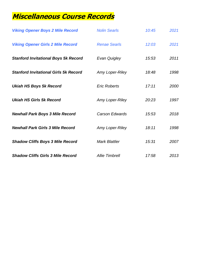### **Miscellaneous Course Records**

| <b>Viking Opener Boys 2 Mile Record</b>      | <b>Nolin Searls</b>   | 10:45 | 2021 |
|----------------------------------------------|-----------------------|-------|------|
| <b>Viking Opener Girls 2 Mile Record</b>     | <b>Renae Searls</b>   | 12:03 | 2021 |
| <b>Stanford Invitational Boys 5k Record</b>  | Evan Quigley          | 15:53 | 2011 |
| <b>Stanford Invitational Girls 5k Record</b> | Amy Loper-Riley       | 18:48 | 1998 |
| <b>Ukiah HS Boys 5k Record</b>               | <b>Eric Roberts</b>   | 17:11 | 2000 |
| <b>Ukiah HS Girls 5k Record</b>              | Amy Loper-Riley       | 20:23 | 1997 |
| <b>Newhall Park Boys 3 Mile Record</b>       | <b>Carson Edwards</b> | 15:53 | 2018 |
| <b>Newhall Park Girls 3 Mile Record</b>      | Amy Loper-Riley       | 18:11 | 1998 |
| <b>Shadow Cliffs Boys 3 Mile Record</b>      | <b>Mark Blattler</b>  | 15:31 | 2007 |
| <b>Shadow Cliffs Girls 3 Mile Record</b>     | <b>Allie Timbrell</b> | 17:58 | 2013 |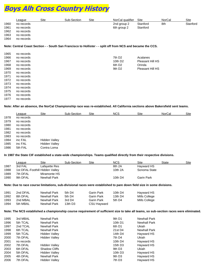## **Boys Alh Cross Country History**

|      | ∟eague     | Site | Sub-Section | Site | NorCal qualifier | Site     | NorCal | Site     |
|------|------------|------|-------------|------|------------------|----------|--------|----------|
| 1960 | no records |      |             |      | 2nd group 2      | Stanford | 8th    | Stanford |
| 1961 | no records |      |             |      | 6th group 2      | Stanford |        |          |
| 1962 | no records |      |             |      |                  |          |        |          |
| 1963 | no records |      |             |      |                  |          |        |          |
| 1964 | no records |      |             |      |                  |          |        |          |

#### **Note: Central Coast Section - - South San Francisco to Hollister - - split off from NCS and became the CCS.**

| 1965 | no records |  |                     |                  |
|------|------------|--|---------------------|------------------|
| 1966 | no records |  | 7th D <sub>2</sub>  | Acalanes         |
| 1967 | no records |  | 10th D <sub>2</sub> | Pleasant Hill HS |
| 1968 | no records |  | 6th D <sub>2</sub>  | Orinda           |
| 1969 | no records |  | 9th D <sub>2</sub>  | Pleasant Hill HS |
| 1970 | no records |  |                     |                  |
| 1971 | no records |  |                     |                  |
| 1972 | no records |  |                     |                  |
| 1973 | no records |  |                     |                  |
| 1974 | no records |  |                     |                  |
| 1975 | no records |  |                     |                  |
| 1976 | no records |  |                     |                  |
| 1977 | no records |  |                     |                  |

**Note: After an absence, the NorCal Championship race was re-established. All California sections above Bakersfield sent teams.**

|      | League     | Site          | Sub-Section | Site | <b>NCS</b> | Site | NorCal | <b>Site</b> |
|------|------------|---------------|-------------|------|------------|------|--------|-------------|
| 1978 | no records |               |             |      |            |      |        |             |
| 1979 | no records |               |             |      |            |      |        |             |
| 1980 | no records |               |             |      |            |      |        |             |
| 1981 | no records |               |             |      |            |      |        |             |
| 1982 | no records |               |             |      |            |      |        |             |
| 1983 | no records |               |             |      |            |      |        |             |
| 1984 | inc FAL    | Hidden Valley |             |      |            |      |        |             |
| 1985 | inc FAL    | Hidden Valley |             |      |            |      |        |             |
| 1986 | 5th FAL    | Contra Loma   |             |      |            |      |        |             |
|      |            |               |             |      |            |      |        |             |

**In 1987 the State CIF established a state-wide championships. Teams qualified directly from their respective divisions.**

|      | League                          | Site          | Sub-Section | Site    | <b>NCS</b>   | Site       | State | Site |
|------|---------------------------------|---------------|-------------|---------|--------------|------------|-------|------|
| 1987 | 3rd FAL                         | Lafayette Res |             |         | 8th 2A       | Hayward HS |       |      |
| 1988 | 1st DFAL-Foothill Hidden Valley |               |             | 10th 2A | Sonoma State |            |       |      |
| 1989 | 7th DFAL                        | Miramonte HS  |             |         |              |            |       |      |
| 1990 | 9th DFAL                        | Newhall Park  |             |         | 10th D4      | Garin Park |       |      |

**Note: Due to race course limitations, sub-divisional races were established to pare down field size in some divisions.** 

| 1991 | 2nd DFAL | Newhall Park | 5th D4  | Garin Park  | 10th D4 | Hayward HS    |
|------|----------|--------------|---------|-------------|---------|---------------|
| 1992 | 8th DFAL | Newhall Park | 5th D4  | Garin Park  | 13th D4 | Mills College |
| 1993 | 2nd MBAL | Newhall Park | 3rd D4  | Garin Park  | 5th D4  | Mills College |
| 1994 | 5th MBAL | Newhall Park | 13th D3 | CSU Hayward |         |               |

#### **Note: The NCS established a championship course requirement of sufficient size to take all teams, so sub-section races were eliminated.**

| 1995 | 3rd MBAL   | Newhall Park         | 9th D1              | Newhall Park |
|------|------------|----------------------|---------------------|--------------|
| 1996 | 5th TCAL   | Newhall Park         | 10th D1             | Newhall Park |
| 1997 | 2nd TCAL   | Newhall Park         | 6th D1              | Ukiah        |
| 1998 | 6th TCAL   | Newhall Park         | 21st D4             | Newhall Park |
| 1999 | 5th TCAL   | Hidden Valley        | 14th D4             | Hayward HS   |
| 2000 | 7th DFAL   | Hidden Valley        | 7th D4              | Ukiah        |
| 2001 | no records |                      | 10th D4             | Hayward HS   |
| 2002 | 7th DFAL   | Hidden Valley        | 15th D <sub>3</sub> | Hayward HS   |
| 2003 | 6th DFAL   | <b>Shadow Cliffs</b> | 9th D <sub>3</sub>  | Ukiah        |
| 2004 | 5th DFAL   | Hidden Valley        | 10th $D3$           | Hayward HS   |
| 2005 | 4th DFAL   | Newhall Park         | 9th D <sub>3</sub>  | Hayward HS   |
| 2006 | 7th DFAL   | Hidden Valley        | 7th D <sub>3</sub>  | Hayward HS   |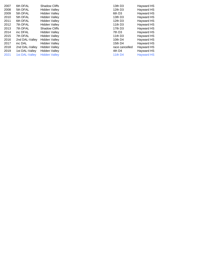| 2007 | 6th DFAL       | <b>Shadow Cliffs</b> | 13th D <sub>3</sub> | <b>Hayward HS</b> |
|------|----------------|----------------------|---------------------|-------------------|
| 2008 | 5th DFAL       | Hidden Valley        | 12th D <sub>3</sub> | Hayward HS        |
| 2009 | 5th DFAL       | Hidden Valley        | 6th D <sub>3</sub>  | <b>Hayward HS</b> |
| 2010 | 5th DFAL       | Hidden Valley        | 13th D <sub>3</sub> | <b>Hayward HS</b> |
| 2011 | 6th DFAL       | Hidden Valley        | 12th D <sub>3</sub> | Hayward HS        |
| 2012 | 7th DFAL       | Hidden Valley        | 11th $D3$           | Hayward HS        |
| 2013 | 7th DFAL       | <b>Shadow Cliffs</b> | 17th D3             | Hayward HS        |
| 2014 | inc DFAL       | Hidden Valley        | 7th D <sub>3</sub>  | Hayward HS        |
| 2015 | 7th DFAL       | Hidden Valley        | 11th D3             | Hayward HS        |
| 2016 | 2nd DAL-Valley | Hidden Valley        | 10th D4             | Hayward HS        |
| 2017 | inc DAL        | Hidden Valley        | 15th D4             | Hayward HS        |
| 2018 | 2nd DAL-Valley | Hidden Valley        | race cancelled      | <b>Hayward HS</b> |
| 2019 | 1st DAL-Valley | Hidden Valley        | 4th D4              | Hayward HS        |
| 2021 | 1st DAL-Valley | <b>Hidden Valley</b> | <b>11th D4</b>      | <b>Hayward HS</b> |
|      |                |                      |                     |                   |

| 3th D3        | Hayward H         |
|---------------|-------------------|
| 2th D3        | Hayward H         |
| th D3         | Hayward H         |
| 3th D3        | Hayward H!        |
| 2th D3        | Hayward H         |
| 1th D3        | Hayward H         |
| 7th D3        | Hayward H!        |
| th D3         | Hayward H         |
| 1th D3        | Hayward H!        |
| 0th D4        | Hayward H!        |
| 5th D4        | Hayward H!        |
| ace cancelled | Hayward H         |
| th D4         | Hayward H         |
| 1th D4        | <b>Hayward HS</b> |